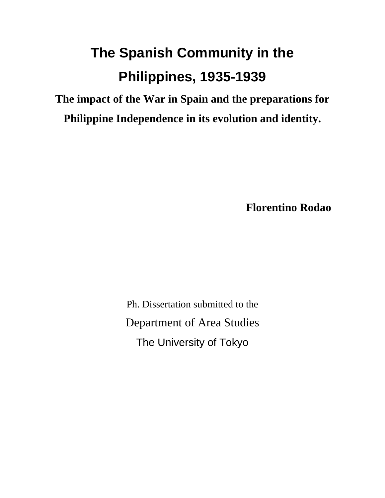# **The Spanish Community in the Philippines, 1935-1939**

**The impact of the War in Spain and the preparations for Philippine Independence in its evolution and identity.**

**Florentino Rodao** 

Ph. Dissertation submitted to the Department of Area Studies The University of Tokyo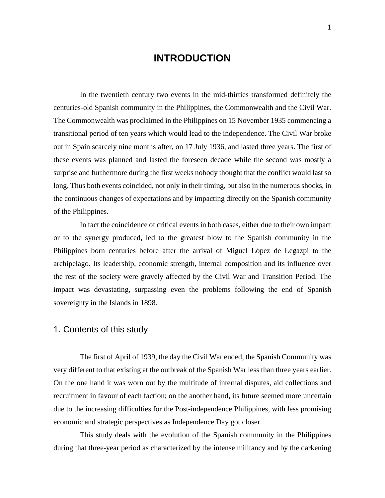# **INTRODUCTION**

<span id="page-1-0"></span> In the twentieth century two events in the mid-thirties transformed definitely the centuries-old Spanish community in the Philippines, the Commonwealth and the Civil War. The Commonwealth was proclaimed in the Philippines on 15 November 1935 commencing a transitional period of ten years which would lead to the independence. The Civil War broke out in Spain scarcely nine months after, on 17 July 1936, and lasted three years. The first of these events was planned and lasted the foreseen decade while the second was mostly a surprise and furthermore during the first weeks nobody thought that the conflict would last so long. Thus both events coincided, not only in their timing, but also in the numerous shocks, in the continuous changes of expectations and by impacting directly on the Spanish community of the Philippines.

 In fact the coincidence of critical events in both cases, either due to their own impact or to the synergy produced, led to the greatest blow to the Spanish community in the Philippines born centuries before after the arrival of Miguel López de Legazpi to the archipelago. Its leadership, economic strength, internal composition and its influence over the rest of the society were gravely affected by the Civil War and Transition Period. The impact was devastating, surpassing even the problems following the end of Spanish sovereignty in the Islands in 1898.

# 1. Contents of this study

The first of April of 1939, the day the Civil War ended, the Spanish Community was very different to that existing at the outbreak of the Spanish War less than three years earlier. On the one hand it was worn out by the multitude of internal disputes, aid collections and recruitment in favour of each faction; on the another hand, its future seemed more uncertain due to the increasing difficulties for the Post-independence Philippines, with less promising economic and strategic perspectives as Independence Day got closer.

This study deals with the evolution of the Spanish community in the Philippines during that three-year period as characterized by the intense militancy and by the darkening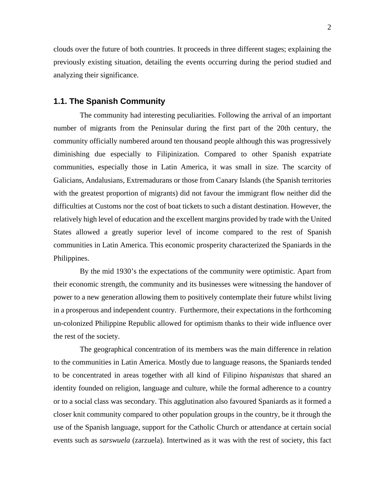<span id="page-2-0"></span>clouds over the future of both countries. It proceeds in three different stages; explaining the previously existing situation, detailing the events occurring during the period studied and analyzing their significance.

#### **1.1. The Spanish Community**

The community had interesting peculiarities. Following the arrival of an important number of migrants from the Peninsular during the first part of the 20th century, the community officially numbered around ten thousand people although this was progressively diminishing due especially to Filipinization. Compared to other Spanish expatriate communities, especially those in Latin America, it was small in size. The scarcity of Galicians, Andalusians, Extremadurans or those from Canary Islands (the Spanish territories with the greatest proportion of migrants) did not favour the immigrant flow neither did the difficulties at Customs nor the cost of boat tickets to such a distant destination. However, the relatively high level of education and the excellent margins provided by trade with the United States allowed a greatly superior level of income compared to the rest of Spanish communities in Latin America. This economic prosperity characterized the Spaniards in the Philippines.

By the mid 1930's the expectations of the community were optimistic. Apart from their economic strength, the community and its businesses were witnessing the handover of power to a new generation allowing them to positively contemplate their future whilst living in a prosperous and independent country. Furthermore, their expectations in the forthcoming un-colonized Philippine Republic allowed for optimism thanks to their wide influence over the rest of the society.

The geographical concentration of its members was the main difference in relation to the communities in Latin America. Mostly due to language reasons, the Spaniards tended to be concentrated in areas together with all kind of Filipino *hispanistas* that shared an identity founded on religion, language and culture, while the formal adherence to a country or to a social class was secondary. This agglutination also favoured Spaniards as it formed a closer knit community compared to other population groups in the country, be it through the use of the Spanish language, support for the Catholic Church or attendance at certain social events such as *sarswuela* (zarzuela). Intertwined as it was with the rest of society, this fact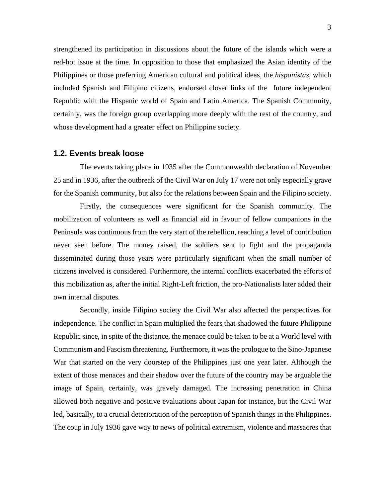<span id="page-3-0"></span>strengthened its participation in discussions about the future of the islands which were a red-hot issue at the time. In opposition to those that emphasized the Asian identity of the Philippines or those preferring American cultural and political ideas, the *hispanistas*, which included Spanish and Filipino citizens, endorsed closer links of the future independent Republic with the Hispanic world of Spain and Latin America. The Spanish Community, certainly, was the foreign group overlapping more deeply with the rest of the country, and whose development had a greater effect on Philippine society.

#### **1.2. Events break loose**

 The events taking place in 1935 after the Commonwealth declaration of November 25 and in 1936, after the outbreak of the Civil War on July 17 were not only especially grave for the Spanish community, but also for the relations between Spain and the Filipino society.

Firstly, the consequences were significant for the Spanish community. The mobilization of volunteers as well as financial aid in favour of fellow companions in the Peninsula was continuous from the very start of the rebellion, reaching a level of contribution never seen before. The money raised, the soldiers sent to fight and the propaganda disseminated during those years were particularly significant when the small number of citizens involved is considered. Furthermore, the internal conflicts exacerbated the efforts of this mobilization as, after the initial Right-Left friction, the pro-Nationalists later added their own internal disputes.

 Secondly, inside Filipino society the Civil War also affected the perspectives for independence. The conflict in Spain multiplied the fears that shadowed the future Philippine Republic since, in spite of the distance, the menace could be taken to be at a World level with Communism and Fascism threatening. Furthermore, it was the prologue to the Sino-Japanese War that started on the very doorstep of the Philippines just one year later. Although the extent of those menaces and their shadow over the future of the country may be arguable the image of Spain, certainly, was gravely damaged. The increasing penetration in China allowed both negative and positive evaluations about Japan for instance, but the Civil War led, basically, to a crucial deterioration of the perception of Spanish things in the Philippines. The coup in July 1936 gave way to news of political extremism, violence and massacres that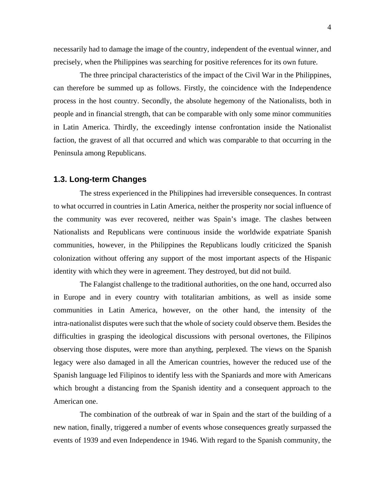<span id="page-4-0"></span>necessarily had to damage the image of the country, independent of the eventual winner, and precisely, when the Philippines was searching for positive references for its own future.

The three principal characteristics of the impact of the Civil War in the Philippines, can therefore be summed up as follows. Firstly, the coincidence with the Independence process in the host country. Secondly, the absolute hegemony of the Nationalists, both in people and in financial strength, that can be comparable with only some minor communities in Latin America. Thirdly, the exceedingly intense confrontation inside the Nationalist faction, the gravest of all that occurred and which was comparable to that occurring in the Peninsula among Republicans.

#### **1.3. Long-term Changes**

 The stress experienced in the Philippines had irreversible consequences. In contrast to what occurred in countries in Latin America, neither the prosperity nor social influence of the community was ever recovered, neither was Spain's image. The clashes between Nationalists and Republicans were continuous inside the worldwide expatriate Spanish communities, however, in the Philippines the Republicans loudly criticized the Spanish colonization without offering any support of the most important aspects of the Hispanic identity with which they were in agreement. They destroyed, but did not build.

The Falangist challenge to the traditional authorities, on the one hand, occurred also in Europe and in every country with totalitarian ambitions, as well as inside some communities in Latin America, however, on the other hand, the intensity of the intra-nationalist disputes were such that the whole of society could observe them. Besides the difficulties in grasping the ideological discussions with personal overtones, the Filipinos observing those disputes, were more than anything, perplexed. The views on the Spanish legacy were also damaged in all the American countries, however the reduced use of the Spanish language led Filipinos to identify less with the Spaniards and more with Americans which brought a distancing from the Spanish identity and a consequent approach to the American one.

The combination of the outbreak of war in Spain and the start of the building of a new nation, finally, triggered a number of events whose consequences greatly surpassed the events of 1939 and even Independence in 1946. With regard to the Spanish community, the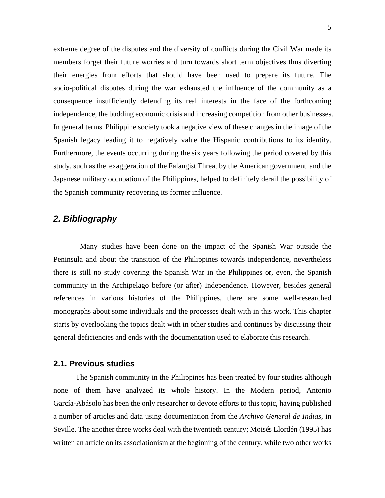<span id="page-5-0"></span>extreme degree of the disputes and the diversity of conflicts during the Civil War made its members forget their future worries and turn towards short term objectives thus diverting their energies from efforts that should have been used to prepare its future. The socio-political disputes during the war exhausted the influence of the community as a consequence insufficiently defending its real interests in the face of the forthcoming independence, the budding economic crisis and increasing competition from other businesses. In general terms Philippine society took a negative view of these changes in the image of the Spanish legacy leading it to negatively value the Hispanic contributions to its identity. Furthermore, the events occurring during the six years following the period covered by this study, such as the exaggeration of the Falangist Threat by the American government and the Japanese military occupation of the Philippines, helped to definitely derail the possibility of the Spanish community recovering its former influence.

# *2. Bibliography*

 Many studies have been done on the impact of the Spanish War outside the Peninsula and about the transition of the Philippines towards independence, nevertheless there is still no study covering the Spanish War in the Philippines or, even, the Spanish community in the Archipelago before (or after) Independence. However, besides general references in various histories of the Philippines, there are some well-researched monographs about some individuals and the processes dealt with in this work. This chapter starts by overlooking the topics dealt with in other studies and continues by discussing their general deficiencies and ends with the documentation used to elaborate this research.

#### **2.1. Previous studies**

The Spanish community in the Philippines has been treated by four studies although none of them have analyzed its whole history. In the Modern period, Antonio García-Abásolo has been the only researcher to devote efforts to this topic, having published a number of articles and data using documentation from the *Archivo General de Indias*, in Seville. The another three works deal with the twentieth century; Moisés Llordén (1995) has written an article on its associationism at the beginning of the century, while two other works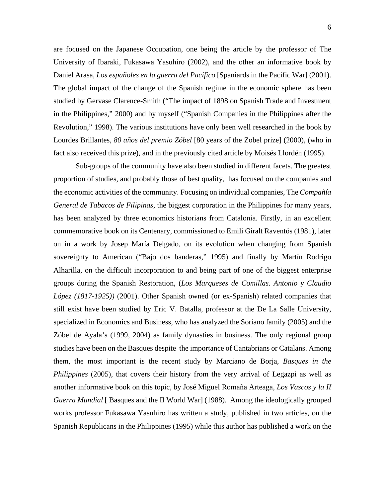are focused on the Japanese Occupation, one being the article by the professor of The University of Ibaraki, Fukasawa Yasuhiro (2002), and the other an informative book by Daniel Arasa, *Los españoles en la guerra del Pacífico* [Spaniards in the Pacific War] (2001). The global impact of the change of the Spanish regime in the economic sphere has been studied by Gervase Clarence-Smith ("The impact of 1898 on Spanish Trade and Investment in the Philippines," 2000) and by myself ("Spanish Companies in the Philippines after the Revolution," 1998). The various institutions have only been well researched in the book by Lourdes Brillantes, *80 años del premio Zóbel* [80 years of the Zobel prize] (2000), (who in fact also received this prize), and in the previously cited article by Moisés Llordén (1995).

Sub-groups of the community have also been studied in different facets. The greatest proportion of studies, and probably those of best quality, has focused on the companies and the economic activities of the community. Focusing on individual companies, The *Compañía General de Tabacos de Filipinas*, the biggest corporation in the Philippines for many years, has been analyzed by three economics historians from Catalonia. Firstly, in an excellent commemorative book on its Centenary, commissioned to Emili Giralt Raventós (1981), later on in a work by Josep María Delgado, on its evolution when changing from Spanish sovereignty to American ("Bajo dos banderas," 1995) and finally by Martín Rodrigo Alharilla, on the difficult incorporation to and being part of one of the biggest enterprise groups during the Spanish Restoration, (*Los Marqueses de Comillas. Antonio y Claudio López (1817-1925))* (2001). Other Spanish owned (or ex-Spanish) related companies that still exist have been studied by Eric V. Batalla, professor at the De La Salle University, specialized in Economics and Business, who has analyzed the Soriano family (2005) and the Zóbel de Ayala's (1999, 2004) as family dynasties in business. The only regional group studies have been on the Basques despite the importance of Cantabrians or Catalans. Among them, the most important is the recent study by Marciano de Borja, *Basques in the Philippines* (2005), that covers their history from the very arrival of Legazpi as well as another informative book on this topic, by José Miguel Romaña Arteaga, *Los Vascos y la II Guerra Mundial* [ Basques and the II World War] (1988). Among the ideologically grouped works professor Fukasawa Yasuhiro has written a study, published in two articles, on the Spanish Republicans in the Philippines (1995) while this author has published a work on the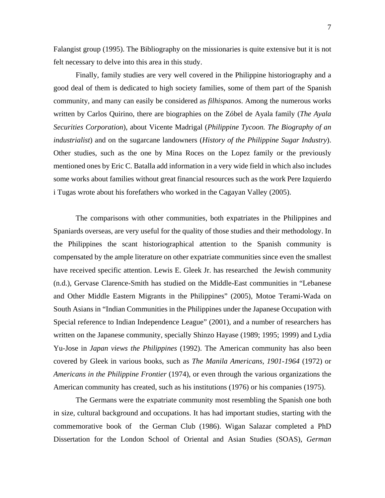Falangist group (1995). The Bibliography on the missionaries is quite extensive but it is not felt necessary to delve into this area in this study.

Finally, family studies are very well covered in the Philippine historiography and a good deal of them is dedicated to high society families, some of them part of the Spanish community, and many can easily be considered as *filhispanos*. Among the numerous works written by Carlos Quirino, there are biographies on the Zóbel de Ayala family (*The Ayala Securities Corporation*), about Vicente Madrigal (*Philippine Tycoon. The Biography of an industrialist*) and on the sugarcane landowners (*History of the Philippine Sugar Industry*). Other studies, such as the one by Mina Roces on the Lopez family or the previously mentioned ones by Eric C. Batalla add information in a very wide field in which also includes some works about families without great financial resources such as the work Pere Izquierdo i Tugas wrote about his forefathers who worked in the Cagayan Valley (2005).

The comparisons with other communities, both expatriates in the Philippines and Spaniards overseas, are very useful for the quality of those studies and their methodology. In the Philippines the scant historiographical attention to the Spanish community is compensated by the ample literature on other expatriate communities since even the smallest have received specific attention. Lewis E. Gleek Jr. has researched the Jewish community (n.d.), Gervase Clarence-Smith has studied on the Middle-East communities in "Lebanese and Other Middle Eastern Migrants in the Philippines" (2005), Motoe Terami-Wada on South Asians in "Indian Communities in the Philippines under the Japanese Occupation with Special reference to Indian Independence League" (2001), and a number of researchers has written on the Japanese community, specially Shinzo Hayase (1989; 1995; 1999) and Lydia Yu-Jose in *Japan views the Philippines* (1992). The American community has also been covered by Gleek in various books, such as *The Manila Americans, 1901-1964* (1972) or *Americans in the Philippine Frontier* (1974), or even through the various organizations the American community has created, such as his institutions (1976) or his companies (1975).

The Germans were the expatriate community most resembling the Spanish one both in size, cultural background and occupations. It has had important studies, starting with the commemorative book of the German Club (1986). Wigan Salazar completed a PhD Dissertation for the London School of Oriental and Asian Studies (SOAS), *German*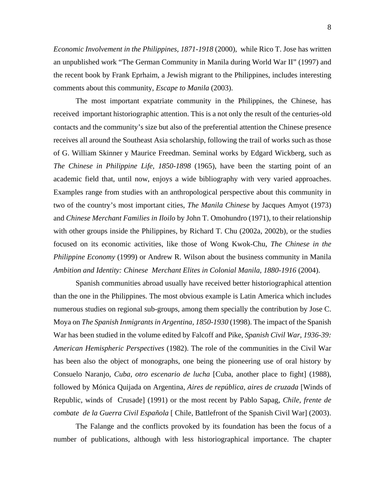*Economic Involvement in the Philippines, 1871-1918* (2000), while Rico T. Jose has written an unpublished work "The German Community in Manila during World War II" (1997) and the recent book by Frank Eprhaim, a Jewish migrant to the Philippines, includes interesting comments about this community, *Escape to Manila* (2003).

The most important expatriate community in the Philippines, the Chinese, has received important historiographic attention. This is a not only the result of the centuries-old contacts and the community's size but also of the preferential attention the Chinese presence receives all around the Southeast Asia scholarship, following the trail of works such as those of G. William Skinner y Maurice Freedman. Seminal works by Edgard Wickberg, such as *The Chinese in Philippine Life, 1850-1898* (1965), have been the starting point of an academic field that, until now, enjoys a wide bibliography with very varied approaches. Examples range from studies with an anthropological perspective about this community in two of the country's most important cities, *The Manila Chinese* by Jacques Amyot (1973) and *Chinese Merchant Families in Iloilo* by John T. Omohundro (1971), to their relationship with other groups inside the Philippines, by Richard T. Chu (2002a, 2002b), or the studies focused on its economic activities, like those of Wong Kwok-Chu, *The Chinese in the Philippine Economy* (1999) or Andrew R. Wilson about the business community in Manila *Ambition and Identity: Chinese Merchant Elites in Colonial Manila, 1880-1916* (2004).

Spanish communities abroad usually have received better historiographical attention than the one in the Philippines. The most obvious example is Latin America which includes numerous studies on regional sub-groups, among them specially the contribution by Jose C. Moya on *The Spanish Inmigrants in Argentina, 1850-1930* (1998). The impact of the Spanish War has been studied in the volume edited by Falcoff and Pike, *Spanish Civil War, 1936-39: American Hemispheric Perspectives* (1982). The role of the communities in the Civil War has been also the object of monographs, one being the pioneering use of oral history by Consuelo Naranjo, *Cuba, otro escenario de lucha* [Cuba, another place to fight] (1988), followed by Mónica Quijada on Argentina, *Aires de república, aires de cruzada* [Winds of Republic, winds of Crusade] (1991) or the most recent by Pablo Sapag, *Chile, frente de combate de la Guerra Civil Española* [ Chile, Battlefront of the Spanish Civil War] (2003).

The Falange and the conflicts provoked by its foundation has been the focus of a number of publications, although with less historiographical importance. The chapter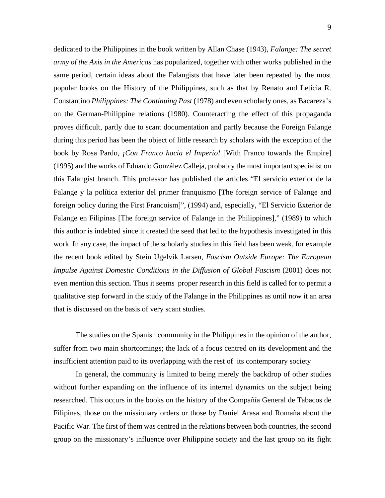dedicated to the Philippines in the book written by Allan Chase (1943), *Falange: The secret army of the Axis in the Americas* has popularized, together with other works published in the same period, certain ideas about the Falangists that have later been repeated by the most popular books on the History of the Philippines, such as that by Renato and Leticia R. Constantino *Philippines: The Continuing Past* (1978) and even scholarly ones, as Bacareza's on the German-Philippine relations (1980). Counteracting the effect of this propaganda proves difficult, partly due to scant documentation and partly because the Foreign Falange during this period has been the object of little research by scholars with the exception of the book by Rosa Pardo, *¡Con Franco hacia el Imperio!* [With Franco towards the Empire] (1995) and the works of Eduardo González Calleja, probably the most important specialist on this Falangist branch. This professor has published the articles "El servicio exterior de la Falange y la política exterior del primer franquismo [The foreign service of Falange and foreign policy during the First Francoism]", (1994) and, especially, "El Servicio Exterior de Falange en Filipinas [The foreign service of Falange in the Philippines]," (1989) to which this author is indebted since it created the seed that led to the hypothesis investigated in this work. In any case, the impact of the scholarly studies in this field has been weak, for example the recent book edited by Stein Ugelvik Larsen, *Fascism Outside Europe: The European Impulse Against Domestic Conditions in the Diffusion of Global Fascism* (2001) does not even mention this section. Thus it seems proper research in this field is called for to permit a qualitative step forward in the study of the Falange in the Philippines as until now it an area that is discussed on the basis of very scant studies.

The studies on the Spanish community in the Philippines in the opinion of the author, suffer from two main shortcomings; the lack of a focus centred on its development and the insufficient attention paid to its overlapping with the rest of its contemporary society

In general, the community is limited to being merely the backdrop of other studies without further expanding on the influence of its internal dynamics on the subject being researched. This occurs in the books on the history of the Compañía General de Tabacos de Filipinas, those on the missionary orders or those by Daniel Arasa and Romaña about the Pacific War. The first of them was centred in the relations between both countries, the second group on the missionary's influence over Philippine society and the last group on its fight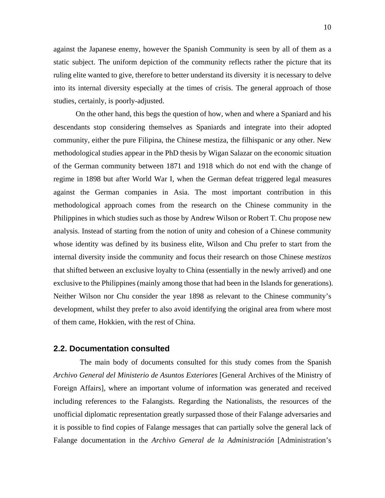<span id="page-10-0"></span>against the Japanese enemy, however the Spanish Community is seen by all of them as a static subject. The uniform depiction of the community reflects rather the picture that its ruling elite wanted to give, therefore to better understand its diversity it is necessary to delve into its internal diversity especially at the times of crisis. The general approach of those studies, certainly, is poorly-adjusted.

On the other hand, this begs the question of how, when and where a Spaniard and his descendants stop considering themselves as Spaniards and integrate into their adopted community, either the pure Filipina, the Chinese mestiza, the filhispanic or any other. New methodological studies appear in the PhD thesis by Wigan Salazar on the economic situation of the German community between 1871 and 1918 which do not end with the change of regime in 1898 but after World War I, when the German defeat triggered legal measures against the German companies in Asia. The most important contribution in this methodological approach comes from the research on the Chinese community in the Philippines in which studies such as those by Andrew Wilson or Robert T. Chu propose new analysis. Instead of starting from the notion of unity and cohesion of a Chinese community whose identity was defined by its business elite, Wilson and Chu prefer to start from the internal diversity inside the community and focus their research on those Chinese *mestizos* that shifted between an exclusive loyalty to China (essentially in the newly arrived) and one exclusive to the Philippines (mainly among those that had been in the Islands for generations). Neither Wilson nor Chu consider the year 1898 as relevant to the Chinese community's development, whilst they prefer to also avoid identifying the original area from where most of them came, Hokkien, with the rest of China.

#### **2.2. Documentation consulted**

 The main body of documents consulted for this study comes from the Spanish *Archivo General del Ministerio de Asuntos Exteriores* [General Archives of the Ministry of Foreign Affairs], where an important volume of information was generated and received including references to the Falangists. Regarding the Nationalists, the resources of the unofficial diplomatic representation greatly surpassed those of their Falange adversaries and it is possible to find copies of Falange messages that can partially solve the general lack of Falange documentation in the *Archivo General de la Administración* [Administration's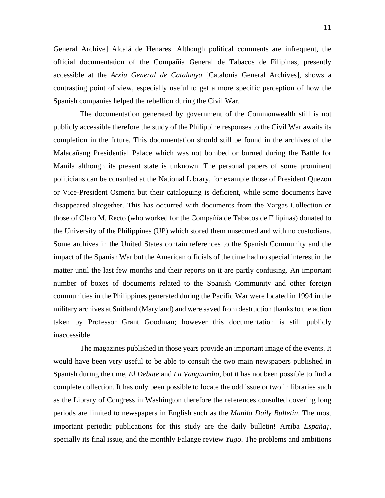General Archive] Alcalá de Henares. Although political comments are infrequent, the official documentation of the Compañía General de Tabacos de Filipinas, presently accessible at the *Arxiu General de Catalunya* [Catalonia General Archives], shows a contrasting point of view, especially useful to get a more specific perception of how the Spanish companies helped the rebellion during the Civil War.

 The documentation generated by government of the Commonwealth still is not publicly accessible therefore the study of the Philippine responses to the Civil War awaits its completion in the future. This documentation should still be found in the archives of the Malacañang Presidential Palace which was not bombed or burned during the Battle for Manila although its present state is unknown. The personal papers of some prominent politicians can be consulted at the National Library, for example those of President Quezon or Vice-President Osmeña but their cataloguing is deficient, while some documents have disappeared altogether. This has occurred with documents from the Vargas Collection or those of Claro M. Recto (who worked for the Compañía de Tabacos de Filipinas) donated to the University of the Philippines (UP) which stored them unsecured and with no custodians. Some archives in the United States contain references to the Spanish Community and the impact of the Spanish War but the American officials of the time had no special interest in the matter until the last few months and their reports on it are partly confusing. An important number of boxes of documents related to the Spanish Community and other foreign communities in the Philippines generated during the Pacific War were located in 1994 in the military archives at Suitland (Maryland) and were saved from destruction thanks to the action taken by Professor Grant Goodman; however this documentation is still publicly inaccessible.

The magazines published in those years provide an important image of the events. It would have been very useful to be able to consult the two main newspapers published in Spanish during the time, *El Debate* and *La Vanguardia*, but it has not been possible to find a complete collection. It has only been possible to locate the odd issue or two in libraries such as the Library of Congress in Washington therefore the references consulted covering long periods are limited to newspapers in English such as the *Manila Daily Bulletin*. The most important periodic publications for this study are the daily bulletin! Arriba *España¡*, specially its final issue, and the monthly Falange review *Yugo*. The problems and ambitions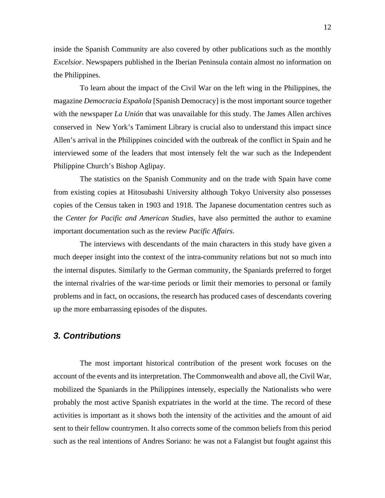<span id="page-12-0"></span>inside the Spanish Community are also covered by other publications such as the monthly *Excelsior*. Newspapers published in the Iberian Peninsula contain almost no information on the Philippines.

To learn about the impact of the Civil War on the left wing in the Philippines, the magazine *Democracia Española* [Spanish Democracy] is the most important source together with the newspaper *La Unión* that was unavailable for this study. The James Allen archives conserved in New York's Tamiment Library is crucial also to understand this impact since Allen's arrival in the Philippines coincided with the outbreak of the conflict in Spain and he interviewed some of the leaders that most intensely felt the war such as the Independent Philippine Church's Bishop Aglipay.

 The statistics on the Spanish Community and on the trade with Spain have come from existing copies at Hitosubashi University although Tokyo University also possesses copies of the Census taken in 1903 and 1918. The Japanese documentation centres such as the *Center for Pacific and American Studies*, have also permitted the author to examine important documentation such as the review *Pacific Affairs*.

 The interviews with descendants of the main characters in this study have given a much deeper insight into the context of the intra-community relations but not so much into the internal disputes. Similarly to the German community, the Spaniards preferred to forget the internal rivalries of the war-time periods or limit their memories to personal or family problems and in fact, on occasions, the research has produced cases of descendants covering up the more embarrassing episodes of the disputes.

# *3. Contributions*

 The most important historical contribution of the present work focuses on the account of the events and its interpretation. The Commonwealth and above all, the Civil War, mobilized the Spaniards in the Philippines intensely, especially the Nationalists who were probably the most active Spanish expatriates in the world at the time. The record of these activities is important as it shows both the intensity of the activities and the amount of aid sent to their fellow countrymen. It also corrects some of the common beliefs from this period such as the real intentions of Andres Soriano: he was not a Falangist but fought against this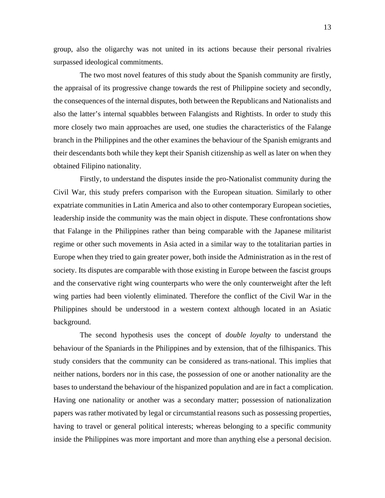group, also the oligarchy was not united in its actions because their personal rivalries surpassed ideological commitments.

The two most novel features of this study about the Spanish community are firstly, the appraisal of its progressive change towards the rest of Philippine society and secondly, the consequences of the internal disputes, both between the Republicans and Nationalists and also the latter's internal squabbles between Falangists and Rightists. In order to study this more closely two main approaches are used, one studies the characteristics of the Falange branch in the Philippines and the other examines the behaviour of the Spanish emigrants and their descendants both while they kept their Spanish citizenship as well as later on when they obtained Filipino nationality.

 Firstly, to understand the disputes inside the pro-Nationalist community during the Civil War, this study prefers comparison with the European situation. Similarly to other expatriate communities in Latin America and also to other contemporary European societies, leadership inside the community was the main object in dispute. These confrontations show that Falange in the Philippines rather than being comparable with the Japanese militarist regime or other such movements in Asia acted in a similar way to the totalitarian parties in Europe when they tried to gain greater power, both inside the Administration as in the rest of society. Its disputes are comparable with those existing in Europe between the fascist groups and the conservative right wing counterparts who were the only counterweight after the left wing parties had been violently eliminated. Therefore the conflict of the Civil War in the Philippines should be understood in a western context although located in an Asiatic background.

 The second hypothesis uses the concept of *double loyalty* to understand the behaviour of the Spaniards in the Philippines and by extension, that of the filhispanics. This study considers that the community can be considered as trans-national. This implies that neither nations, borders nor in this case, the possession of one or another nationality are the bases to understand the behaviour of the hispanized population and are in fact a complication. Having one nationality or another was a secondary matter; possession of nationalization papers was rather motivated by legal or circumstantial reasons such as possessing properties, having to travel or general political interests; whereas belonging to a specific community inside the Philippines was more important and more than anything else a personal decision.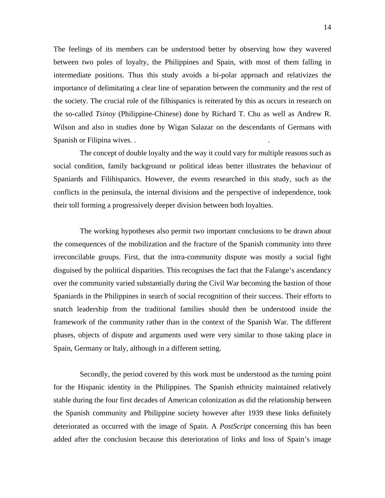The feelings of its members can be understood better by observing how they wavered between two poles of loyalty, the Philippines and Spain, with most of them falling in intermediate positions. Thus this study avoids a bi-polar approach and relativizes the importance of delimitating a clear line of separation between the community and the rest of the society. The crucial role of the filhispanics is reiterated by this as occurs in research on the so-called *Tsinoy* (Philippine-Chinese) done by Richard T. Chu as well as Andrew R. Wilson and also in studies done by Wigan Salazar on the descendants of Germans with Spanish or Filipina wives. . .

The concept of double loyalty and the way it could vary for multiple reasons such as social condition, family background or political ideas better illustrates the behaviour of Spaniards and Filihispanics. However, the events researched in this study, such as the conflicts in the peninsula, the internal divisions and the perspective of independence, took their toll forming a progressively deeper division between both loyalties.

The working hypotheses also permit two important conclusions to be drawn about the consequences of the mobilization and the fracture of the Spanish community into three irreconcilable groups. First, that the intra-community dispute was mostly a social fight disguised by the political disparities. This recognises the fact that the Falange's ascendancy over the community varied substantially during the Civil War becoming the bastion of those Spaniards in the Philippines in search of social recognition of their success. Their efforts to snatch leadership from the traditional families should then be understood inside the framework of the community rather than in the context of the Spanish War. The different phases, objects of dispute and arguments used were very similar to those taking place in Spain, Germany or Italy, although in a different setting.

 Secondly, the period covered by this work must be understood as the turning point for the Hispanic identity in the Philippines. The Spanish ethnicity maintained relatively stable during the four first decades of American colonization as did the relationship between the Spanish community and Philippine society however after 1939 these links definitely deteriorated as occurred with the image of Spain. A *PostScript* concerning this has been added after the conclusion because this deterioration of links and loss of Spain's image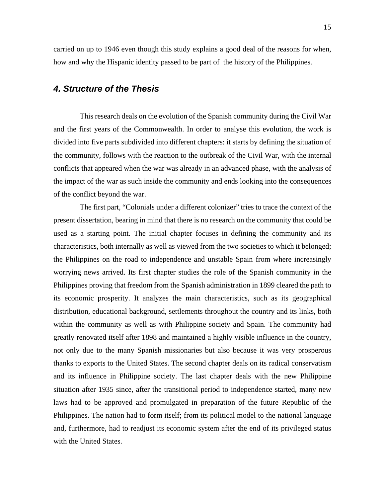<span id="page-15-0"></span>carried on up to 1946 even though this study explains a good deal of the reasons for when, how and why the Hispanic identity passed to be part of the history of the Philippines.

# *4. Structure of the Thesis*

 This research deals on the evolution of the Spanish community during the Civil War and the first years of the Commonwealth. In order to analyse this evolution, the work is divided into five parts subdivided into different chapters: it starts by defining the situation of the community, follows with the reaction to the outbreak of the Civil War, with the internal conflicts that appeared when the war was already in an advanced phase, with the analysis of the impact of the war as such inside the community and ends looking into the consequences of the conflict beyond the war.

 The first part, "Colonials under a different colonizer" tries to trace the context of the present dissertation, bearing in mind that there is no research on the community that could be used as a starting point. The initial chapter focuses in defining the community and its characteristics, both internally as well as viewed from the two societies to which it belonged; the Philippines on the road to independence and unstable Spain from where increasingly worrying news arrived. Its first chapter studies the role of the Spanish community in the Philippines proving that freedom from the Spanish administration in 1899 cleared the path to its economic prosperity. It analyzes the main characteristics, such as its geographical distribution, educational background, settlements throughout the country and its links, both within the community as well as with Philippine society and Spain. The community had greatly renovated itself after 1898 and maintained a highly visible influence in the country, not only due to the many Spanish missionaries but also because it was very prosperous thanks to exports to the United States. The second chapter deals on its radical conservatism and its influence in Philippine society. The last chapter deals with the new Philippine situation after 1935 since, after the transitional period to independence started, many new laws had to be approved and promulgated in preparation of the future Republic of the Philippines. The nation had to form itself; from its political model to the national language and, furthermore, had to readjust its economic system after the end of its privileged status with the United States.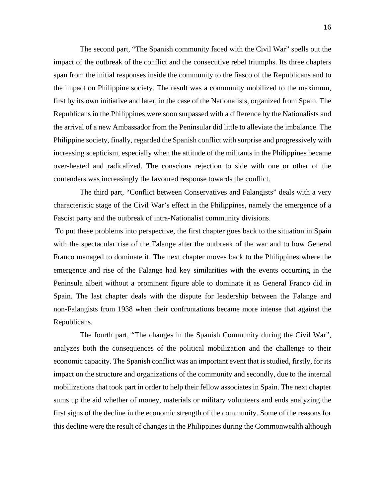The second part, "The Spanish community faced with the Civil War" spells out the impact of the outbreak of the conflict and the consecutive rebel triumphs. Its three chapters span from the initial responses inside the community to the fiasco of the Republicans and to the impact on Philippine society. The result was a community mobilized to the maximum, first by its own initiative and later, in the case of the Nationalists, organized from Spain. The Republicans in the Philippines were soon surpassed with a difference by the Nationalists and the arrival of a new Ambassador from the Peninsular did little to alleviate the imbalance. The Philippine society, finally, regarded the Spanish conflict with surprise and progressively with increasing scepticism, especially when the attitude of the militants in the Philippines became over-heated and radicalized. The conscious rejection to side with one or other of the contenders was increasingly the favoured response towards the conflict.

 The third part, "Conflict between Conservatives and Falangists" deals with a very characteristic stage of the Civil War's effect in the Philippines, namely the emergence of a Fascist party and the outbreak of intra-Nationalist community divisions.

 To put these problems into perspective, the first chapter goes back to the situation in Spain with the spectacular rise of the Falange after the outbreak of the war and to how General Franco managed to dominate it. The next chapter moves back to the Philippines where the emergence and rise of the Falange had key similarities with the events occurring in the Peninsula albeit without a prominent figure able to dominate it as General Franco did in Spain. The last chapter deals with the dispute for leadership between the Falange and non-Falangists from 1938 when their confrontations became more intense that against the Republicans.

 The fourth part, "The changes in the Spanish Community during the Civil War", analyzes both the consequences of the political mobilization and the challenge to their economic capacity. The Spanish conflict was an important event that is studied, firstly, for its impact on the structure and organizations of the community and secondly, due to the internal mobilizations that took part in order to help their fellow associates in Spain. The next chapter sums up the aid whether of money, materials or military volunteers and ends analyzing the first signs of the decline in the economic strength of the community. Some of the reasons for this decline were the result of changes in the Philippines during the Commonwealth although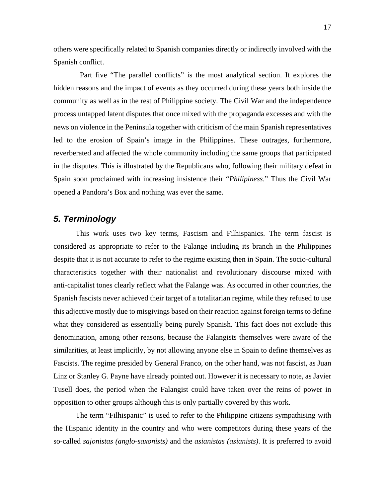<span id="page-17-0"></span>others were specifically related to Spanish companies directly or indirectly involved with the Spanish conflict.

 Part five "The parallel conflicts" is the most analytical section. It explores the hidden reasons and the impact of events as they occurred during these years both inside the community as well as in the rest of Philippine society. The Civil War and the independence process untapped latent disputes that once mixed with the propaganda excesses and with the news on violence in the Peninsula together with criticism of the main Spanish representatives led to the erosion of Spain's image in the Philippines. These outrages, furthermore, reverberated and affected the whole community including the same groups that participated in the disputes. This is illustrated by the Republicans who, following their military defeat in Spain soon proclaimed with increasing insistence their "*Philipiness*." Thus the Civil War opened a Pandora's Box and nothing was ever the same.

# *5. Terminology*

This work uses two key terms, Fascism and Filhispanics. The term fascist is considered as appropriate to refer to the Falange including its branch in the Philippines despite that it is not accurate to refer to the regime existing then in Spain. The socio-cultural characteristics together with their nationalist and revolutionary discourse mixed with anti-capitalist tones clearly reflect what the Falange was. As occurred in other countries, the Spanish fascists never achieved their target of a totalitarian regime, while they refused to use this adjective mostly due to misgivings based on their reaction against foreign terms to define what they considered as essentially being purely Spanish. This fact does not exclude this denomination, among other reasons, because the Falangists themselves were aware of the similarities, at least implicitly, by not allowing anyone else in Spain to define themselves as Fascists. The regime presided by General Franco, on the other hand, was not fascist, as Juan Linz or Stanley G. Payne have already pointed out. However it is necessary to note, as Javier Tusell does, the period when the Falangist could have taken over the reins of power in opposition to other groups although this is only partially covered by this work.

The term "Filhispanic" is used to refer to the Philippine citizens sympathising with the Hispanic identity in the country and who were competitors during these years of the so-called *sajonistas (anglo-saxonists)* and the *asianistas (asianists)*. It is preferred to avoid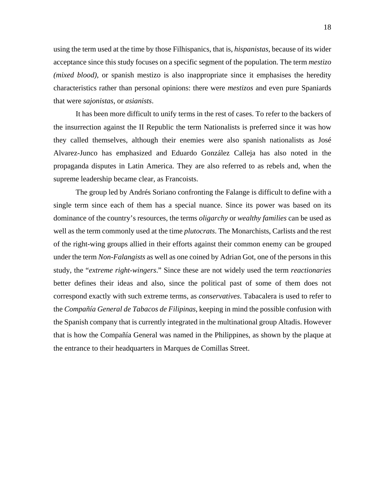using the term used at the time by those Filhispanics, that is, *hispanistas*, because of its wider acceptance since this study focuses on a specific segment of the population. The term *mestizo (mixed blood)*, or spanish mestizo is also inappropriate since it emphasises the heredity characteristics rather than personal opinions: there were *mestizos* and even pure Spaniards that were *sajonistas*, or *asianists*.

It has been more difficult to unify terms in the rest of cases. To refer to the backers of the insurrection against the II Republic the term Nationalists is preferred since it was how they called themselves, although their enemies were also spanish nationalists as José Alvarez-Junco has emphasized and Eduardo González Calleja has also noted in the propaganda disputes in Latin America. They are also referred to as rebels and, when the supreme leadership became clear, as Francoists.

The group led by Andrés Soriano confronting the Falange is difficult to define with a single term since each of them has a special nuance. Since its power was based on its dominance of the country's resources, the terms *oligarchy* or *wealthy families* can be used as well as the term commonly used at the time *plutocrats*. The Monarchists, Carlists and the rest of the right-wing groups allied in their efforts against their common enemy can be grouped under the term *Non-Falangists* as well as one coined by Adrian Got, one of the persons in this study, the "*extreme right-wingers*." Since these are not widely used the term *reactionaries* better defines their ideas and also, since the political past of some of them does not correspond exactly with such extreme terms, as *conservatives*. Tabacalera is used to refer to the *Compañía General de Tabacos de Filipinas*, keeping in mind the possible confusion with the Spanish company that is currently integrated in the multinational group Altadis. However that is how the Compañía General was named in the Philippines, as shown by the plaque at the entrance to their headquarters in Marques de Comillas Street.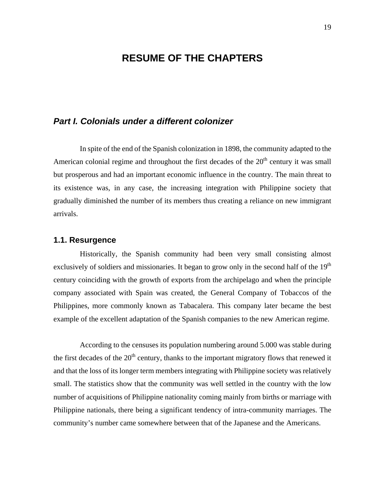# **RESUME OF THE CHAPTERS**

# <span id="page-19-0"></span>*Part I. Colonials under a different colonizer*

 In spite of the end of the Spanish colonization in 1898, the community adapted to the American colonial regime and throughout the first decades of the  $20<sup>th</sup>$  century it was small but prosperous and had an important economic influence in the country. The main threat to its existence was, in any case, the increasing integration with Philippine society that gradually diminished the number of its members thus creating a reliance on new immigrant arrivals.

#### **1.1. Resurgence**

 Historically, the Spanish community had been very small consisting almost exclusively of soldiers and missionaries. It began to grow only in the second half of the  $19<sup>th</sup>$ century coinciding with the growth of exports from the archipelago and when the principle company associated with Spain was created, the General Company of Tobaccos of the Philippines, more commonly known as Tabacalera. This company later became the best example of the excellent adaptation of the Spanish companies to the new American regime.

 According to the censuses its population numbering around 5.000 was stable during the first decades of the  $20<sup>th</sup>$  century, thanks to the important migratory flows that renewed it and that the loss of its longer term members integrating with Philippine society was relatively small. The statistics show that the community was well settled in the country with the low number of acquisitions of Philippine nationality coming mainly from births or marriage with Philippine nationals, there being a significant tendency of intra-community marriages. The community's number came somewhere between that of the Japanese and the Americans.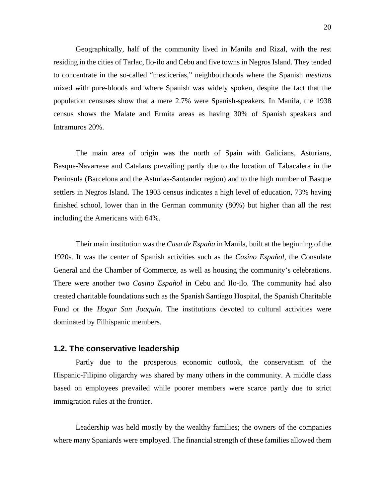<span id="page-20-0"></span>Geographically, half of the community lived in Manila and Rizal, with the rest residing in the cities of Tarlac, Ilo-ilo and Cebu and five towns in Negros Island. They tended to concentrate in the so-called "mesticerías," neighbourhoods where the Spanish *mestizos*  mixed with pure-bloods and where Spanish was widely spoken, despite the fact that the population censuses show that a mere 2.7% were Spanish-speakers. In Manila, the 1938 census shows the Malate and Ermita areas as having 30% of Spanish speakers and Intramuros 20%.

The main area of origin was the north of Spain with Galicians, Asturians, Basque-Navarrese and Catalans prevailing partly due to the location of Tabacalera in the Peninsula (Barcelona and the Asturias-Santander region) and to the high number of Basque settlers in Negros Island. The 1903 census indicates a high level of education, 73% having finished school, lower than in the German community (80%) but higher than all the rest including the Americans with 64%.

Their main institution was the *Casa de España* in Manila, built at the beginning of the 1920s. It was the center of Spanish activities such as the *Casino Español*, the Consulate General and the Chamber of Commerce, as well as housing the community's celebrations. There were another two *Casino Español* in Cebu and Ilo-ilo. The community had also created charitable foundations such as the Spanish Santiago Hospital, the Spanish Charitable Fund or the *Hogar San Joaquín*. The institutions devoted to cultural activities were dominated by Filhispanic members.

#### **1.2. The conservative leadership**

Partly due to the prosperous economic outlook, the conservatism of the Hispanic-Filipino oligarchy was shared by many others in the community. A middle class based on employees prevailed while poorer members were scarce partly due to strict immigration rules at the frontier.

Leadership was held mostly by the wealthy families; the owners of the companies where many Spaniards were employed. The financial strength of these families allowed them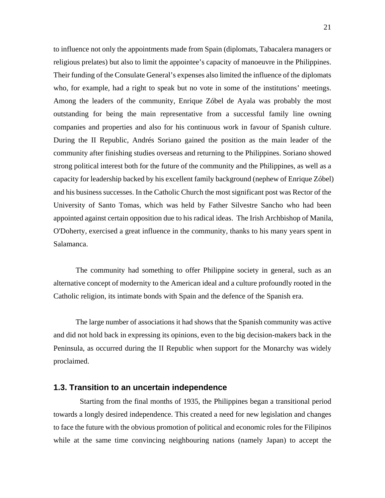<span id="page-21-0"></span>to influence not only the appointments made from Spain (diplomats, Tabacalera managers or religious prelates) but also to limit the appointee's capacity of manoeuvre in the Philippines. Their funding of the Consulate General's expenses also limited the influence of the diplomats who, for example, had a right to speak but no vote in some of the institutions' meetings. Among the leaders of the community, Enrique Zóbel de Ayala was probably the most outstanding for being the main representative from a successful family line owning companies and properties and also for his continuous work in favour of Spanish culture. During the II Republic, Andrés Soriano gained the position as the main leader of the community after finishing studies overseas and returning to the Philippines. Soriano showed strong political interest both for the future of the community and the Philippines, as well as a capacity for leadership backed by his excellent family background (nephew of Enrique Zóbel) and his business successes. In the Catholic Church the most significant post was Rector of the University of Santo Tomas, which was held by Father Silvestre Sancho who had been appointed against certain opposition due to his radical ideas. The Irish Archbishop of Manila, O'Doherty, exercised a great influence in the community, thanks to his many years spent in Salamanca.

The community had something to offer Philippine society in general, such as an alternative concept of modernity to the American ideal and a culture profoundly rooted in the Catholic religion, its intimate bonds with Spain and the defence of the Spanish era.

The large number of associations it had shows that the Spanish community was active and did not hold back in expressing its opinions, even to the big decision-makers back in the Peninsula, as occurred during the II Republic when support for the Monarchy was widely proclaimed.

#### **1.3. Transition to an uncertain independence**

 Starting from the final months of 1935, the Philippines began a transitional period towards a longly desired independence. This created a need for new legislation and changes to face the future with the obvious promotion of political and economic roles for the Filipinos while at the same time convincing neighbouring nations (namely Japan) to accept the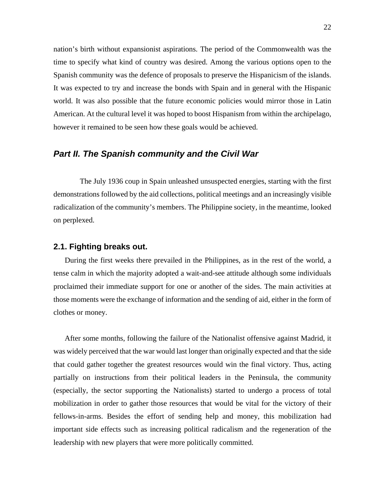<span id="page-22-0"></span>nation's birth without expansionist aspirations. The period of the Commonwealth was the time to specify what kind of country was desired. Among the various options open to the Spanish community was the defence of proposals to preserve the Hispanicism of the islands. It was expected to try and increase the bonds with Spain and in general with the Hispanic world. It was also possible that the future economic policies would mirror those in Latin American. At the cultural level it was hoped to boost Hispanism from within the archipelago, however it remained to be seen how these goals would be achieved.

# *Part II. The Spanish community and the Civil War*

 The July 1936 coup in Spain unleashed unsuspected energies, starting with the first demonstrations followed by the aid collections, political meetings and an increasingly visible radicalization of the community's members. The Philippine society, in the meantime, looked on perplexed.

#### **2.1. Fighting breaks out.**

During the first weeks there prevailed in the Philippines, as in the rest of the world, a tense calm in which the majority adopted a wait-and-see attitude although some individuals proclaimed their immediate support for one or another of the sides. The main activities at those moments were the exchange of information and the sending of aid, either in the form of clothes or money.

After some months, following the failure of the Nationalist offensive against Madrid, it was widely perceived that the war would last longer than originally expected and that the side that could gather together the greatest resources would win the final victory. Thus, acting partially on instructions from their political leaders in the Peninsula, the community (especially, the sector supporting the Nationalists) started to undergo a process of total mobilization in order to gather those resources that would be vital for the victory of their fellows-in-arms. Besides the effort of sending help and money, this mobilization had important side effects such as increasing political radicalism and the regeneration of the leadership with new players that were more politically committed.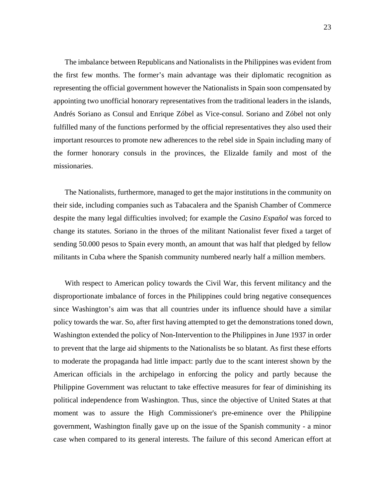The imbalance between Republicans and Nationalists in the Philippines was evident from the first few months. The former's main advantage was their diplomatic recognition as representing the official government however the Nationalists in Spain soon compensated by appointing two unofficial honorary representatives from the traditional leaders in the islands, Andrés Soriano as Consul and Enrique Zóbel as Vice-consul. Soriano and Zóbel not only fulfilled many of the functions performed by the official representatives they also used their important resources to promote new adherences to the rebel side in Spain including many of the former honorary consuls in the provinces, the Elizalde family and most of the missionaries.

The Nationalists, furthermore, managed to get the major institutions in the community on their side, including companies such as Tabacalera and the Spanish Chamber of Commerce despite the many legal difficulties involved; for example the *Casino Español* was forced to change its statutes. Soriano in the throes of the militant Nationalist fever fixed a target of sending 50.000 pesos to Spain every month, an amount that was half that pledged by fellow militants in Cuba where the Spanish community numbered nearly half a million members.

With respect to American policy towards the Civil War, this fervent militancy and the disproportionate imbalance of forces in the Philippines could bring negative consequences since Washington's aim was that all countries under its influence should have a similar policy towards the war. So, after first having attempted to get the demonstrations toned down, Washington extended the policy of Non-Intervention to the Philippines in June 1937 in order to prevent that the large aid shipments to the Nationalists be so blatant. As first these efforts to moderate the propaganda had little impact: partly due to the scant interest shown by the American officials in the archipelago in enforcing the policy and partly because the Philippine Government was reluctant to take effective measures for fear of diminishing its political independence from Washington. Thus, since the objective of United States at that moment was to assure the High Commissioner's pre-eminence over the Philippine government, Washington finally gave up on the issue of the Spanish community - a minor case when compared to its general interests. The failure of this second American effort at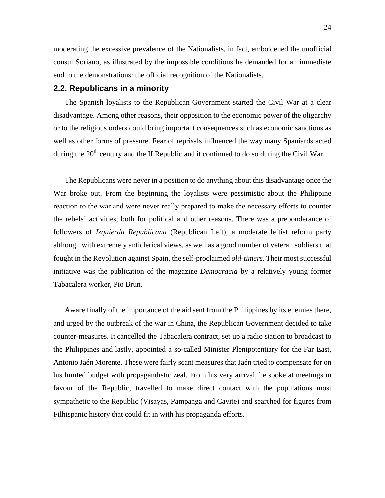<span id="page-24-0"></span>moderating the excessive prevalence of the Nationalists, in fact, emboldened the unofficial consul Soriano, as illustrated by the impossible conditions he demanded for an immediate end to the demonstrations: the official recognition of the Nationalists.

#### **2.2. Republicans in a minority**

The Spanish loyalists to the Republican Government started the Civil War at a clear disadvantage. Among other reasons, their opposition to the economic power of the oligarchy or to the religious orders could bring important consequences such as economic sanctions as well as other forms of pressure. Fear of reprisals influenced the way many Spaniards acted during the  $20<sup>th</sup>$  century and the II Republic and it continued to do so during the Civil War.

The Republicans were never in a position to do anything about this disadvantage once the War broke out. From the beginning the loyalists were pessimistic about the Philippine reaction to the war and were never really prepared to make the necessary efforts to counter the rebels' activities, both for political and other reasons. There was a preponderance of followers of *Izquierda Republicana* (Republican Left), a moderate leftist reform party although with extremely anticlerical views, as well as a good number of veteran soldiers that fought in the Revolution against Spain, the self-proclaimed *old-timers.* Their most successful initiative was the publication of the magazine *Democracia* by a relatively young former Tabacalera worker, Pio Brun.

Aware finally of the importance of the aid sent from the Philippines by its enemies there, and urged by the outbreak of the war in China, the Republican Government decided to take counter-measures. It cancelled the Tabacalera contract, set up a radio station to broadcast to the Philippines and lastly, appointed a so-called Minister Plenipotentiary for the Far East, Antonio Jaén Morente. These were fairly scant measures that Jaén tried to compensate for on his limited budget with propagandistic zeal. From his very arrival, he spoke at meetings in favour of the Republic, travelled to make direct contact with the populations most sympathetic to the Republic (Visayas, Pampanga and Cavite) and searched for figures from Filhispanic history that could fit in with his propaganda efforts.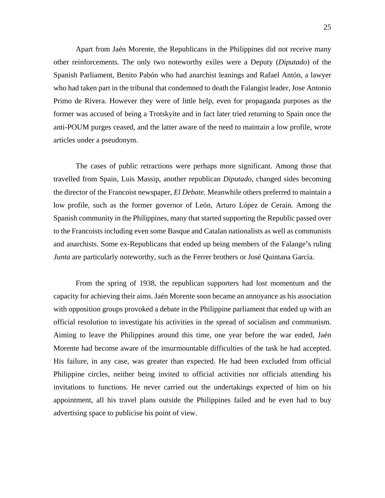Apart from Jaén Morente, the Republicans in the Philippines did not receive many other reinforcements. The only two noteworthy exiles were a Deputy (*Diputado*) of the Spanish Parliament, Benito Pabón who had anarchist leanings and Rafael Antón, a lawyer who had taken part in the tribunal that condemned to death the Falangist leader, Jose Antonio Primo de Rivera. However they were of little help, even for propaganda purposes as the former was accused of being a Trotskyite and in fact later tried returning to Spain once the anti-POUM purges ceased, and the latter aware of the need to maintain a low profile, wrote articles under a pseudonym.

The cases of public retractions were perhaps more significant. Among those that travelled from Spain, Luis Massip, another republican *Diputado*, changed sides becoming the director of the Francoist newspaper, *El Debate.* Meanwhile others preferred to maintain a low profile, such as the former governor of León, Arturo López de Cerain. Among the Spanish community in the Philippines, many that started supporting the Republic passed over to the Francoists including even some Basque and Catalan nationalists as well as communists and anarchists. Some ex-Republicans that ended up being members of the Falange's ruling *Junta* are particularly noteworthy, such as the Ferrer brothers or José Quintana García.

From the spring of 1938, the republican supporters had lost momentum and the capacity for achieving their aims. Jaén Morente soon became an annoyance as his association with opposition groups provoked a debate in the Philippine parliament that ended up with an official resolution to investigate his activities in the spread of socialism and communism. Aiming to leave the Philippines around this time, one year before the war ended, Jaén Morente had become aware of the insurmountable difficulties of the task he had accepted. His failure, in any case, was greater than expected. He had been excluded from official Philippine circles, neither being invited to official activities nor officials attending his invitations to functions. He never carried out the undertakings expected of him on his appointment, all his travel plans outside the Philippines failed and he even had to buy advertising space to publicise his point of view.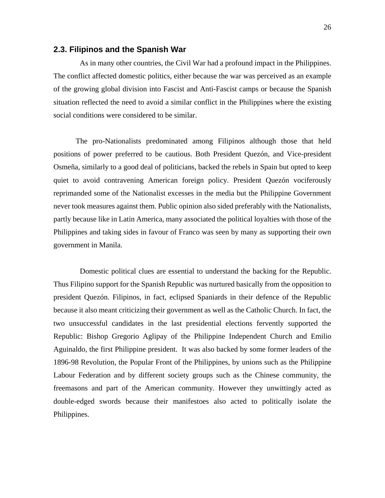#### <span id="page-26-0"></span>**2.3. Filipinos and the Spanish War**

 As in many other countries, the Civil War had a profound impact in the Philippines. The conflict affected domestic politics, either because the war was perceived as an example of the growing global division into Fascist and Anti-Fascist camps or because the Spanish situation reflected the need to avoid a similar conflict in the Philippines where the existing social conditions were considered to be similar.

The pro-Nationalists predominated among Filipinos although those that held positions of power preferred to be cautious. Both President Quezón, and Vice-president Osmeña, similarly to a good deal of politicians, backed the rebels in Spain but opted to keep quiet to avoid contravening American foreign policy. President Quezón vociferously reprimanded some of the Nationalist excesses in the media but the Philippine Government never took measures against them. Public opinion also sided preferably with the Nationalists, partly because like in Latin America, many associated the political loyalties with those of the Philippines and taking sides in favour of Franco was seen by many as supporting their own government in Manila.

 Domestic political clues are essential to understand the backing for the Republic. Thus Filipino support for the Spanish Republic was nurtured basically from the opposition to president Quezón. Filipinos, in fact, eclipsed Spaniards in their defence of the Republic because it also meant criticizing their government as well as the Catholic Church. In fact, the two unsuccessful candidates in the last presidential elections fervently supported the Republic: Bishop Gregorio Aglipay of the Philippine Independent Church and Emilio Aguinaldo, the first Philippine president. It was also backed by some former leaders of the 1896-98 Revolution, the Popular Front of the Philippines, by unions such as the Philippine Labour Federation and by different society groups such as the Chinese community, the freemasons and part of the American community. However they unwittingly acted as double-edged swords because their manifestoes also acted to politically isolate the Philippines.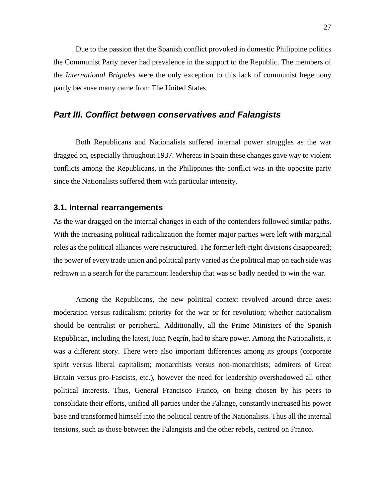<span id="page-27-0"></span>Due to the passion that the Spanish conflict provoked in domestic Philippine politics the Communist Party never had prevalence in the support to the Republic. The members of the *International Brigades* were the only exception to this lack of communist hegemony partly because many came from The United States.

## *Part III. Conflict between conservatives and Falangists*

Both Republicans and Nationalists suffered internal power struggles as the war dragged on, especially throughout 1937. Whereas in Spain these changes gave way to violent conflicts among the Republicans, in the Philippines the conflict was in the opposite party since the Nationalists suffered them with particular intensity.

#### **3.1. Internal rearrangements**

As the war dragged on the internal changes in each of the contenders followed similar paths. With the increasing political radicalization the former major parties were left with marginal roles as the political alliances were restructured. The former left-right divisions disappeared; the power of every trade union and political party varied as the political map on each side was redrawn in a search for the paramount leadership that was so badly needed to win the war.

Among the Republicans, the new political context revolved around three axes: moderation versus radicalism; priority for the war or for revolution; whether nationalism should be centralist or peripheral. Additionally, all the Prime Ministers of the Spanish Republican, including the latest, Juan Negrín, had to share power. Among the Nationalists, it was a different story. There were also important differences among its groups (corporate spirit versus liberal capitalism; monarchists versus non-monarchists; admirers of Great Britain versus pro-Fascists, etc.), however the need for leadership overshadowed all other political interests. Thus, General Francisco Franco, on being chosen by his peers to consolidate their efforts, unified all parties under the Falange, constantly increased his power base and transformed himself into the political centre of the Nationalists. Thus all the internal tensions, such as those between the Falangists and the other rebels, centred on Franco.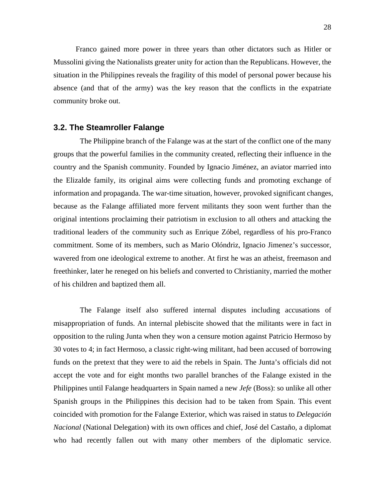<span id="page-28-0"></span>Franco gained more power in three years than other dictators such as Hitler or Mussolini giving the Nationalists greater unity for action than the Republicans. However, the situation in the Philippines reveals the fragility of this model of personal power because his absence (and that of the army) was the key reason that the conflicts in the expatriate community broke out.

#### **3.2. The Steamroller Falange**

 The Philippine branch of the Falange was at the start of the conflict one of the many groups that the powerful families in the community created, reflecting their influence in the country and the Spanish community. Founded by Ignacio Jiménez, an aviator married into the Elizalde family, its original aims were collecting funds and promoting exchange of information and propaganda. The war-time situation, however, provoked significant changes, because as the Falange affiliated more fervent militants they soon went further than the original intentions proclaiming their patriotism in exclusion to all others and attacking the traditional leaders of the community such as Enrique Zóbel, regardless of his pro-Franco commitment. Some of its members, such as Mario Olóndriz, Ignacio Jimenez's successor, wavered from one ideological extreme to another. At first he was an atheist, freemason and freethinker, later he reneged on his beliefs and converted to Christianity, married the mother of his children and baptized them all.

 The Falange itself also suffered internal disputes including accusations of misappropriation of funds. An internal plebiscite showed that the militants were in fact in opposition to the ruling Junta when they won a censure motion against Patricio Hermoso by 30 votes to 4; in fact Hermoso, a classic right-wing militant, had been accused of borrowing funds on the pretext that they were to aid the rebels in Spain. The Junta's officials did not accept the vote and for eight months two parallel branches of the Falange existed in the Philippines until Falange headquarters in Spain named a new *Jefe* (Boss): so unlike all other Spanish groups in the Philippines this decision had to be taken from Spain. This event coincided with promotion for the Falange Exterior, which was raised in status to *Delegación Nacional* (National Delegation) with its own offices and chief, José del Castaño, a diplomat who had recently fallen out with many other members of the diplomatic service.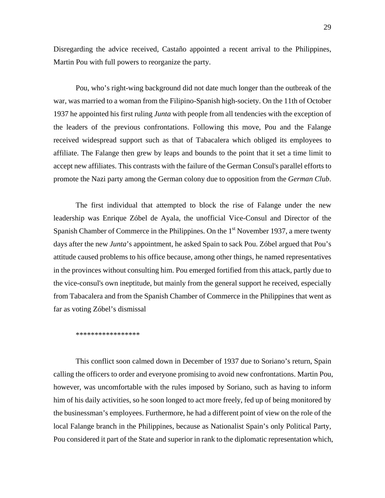Disregarding the advice received, Castaño appointed a recent arrival to the Philippines, Martin Pou with full powers to reorganize the party.

Pou, who's right-wing background did not date much longer than the outbreak of the war, was married to a woman from the Filipino-Spanish high-society. On the 11th of October 1937 he appointed his first ruling *Junta* with people from all tendencies with the exception of the leaders of the previous confrontations. Following this move, Pou and the Falange received widespread support such as that of Tabacalera which obliged its employees to affiliate. The Falange then grew by leaps and bounds to the point that it set a time limit to accept new affiliates. This contrasts with the failure of the German Consul's parallel efforts to promote the Nazi party among the German colony due to opposition from the *German Club*.

The first individual that attempted to block the rise of Falange under the new leadership was Enrique Zóbel de Ayala, the unofficial Vice-Consul and Director of the Spanish Chamber of Commerce in the Philippines. On the  $1<sup>st</sup>$  November 1937, a mere twenty days after the new *Junta*'s appointment, he asked Spain to sack Pou. Zóbel argued that Pou's attitude caused problems to his office because, among other things, he named representatives in the provinces without consulting him. Pou emerged fortified from this attack, partly due to the vice-consul's own ineptitude, but mainly from the general support he received, especially from Tabacalera and from the Spanish Chamber of Commerce in the Philippines that went as far as voting Zóbel's dismissal

#### \*\*\*\*\*\*\*\*\*\*\*\*\*\*\*\*\*

This conflict soon calmed down in December of 1937 due to Soriano's return, Spain calling the officers to order and everyone promising to avoid new confrontations. Martin Pou, however, was uncomfortable with the rules imposed by Soriano, such as having to inform him of his daily activities, so he soon longed to act more freely, fed up of being monitored by the businessman's employees. Furthermore, he had a different point of view on the role of the local Falange branch in the Philippines, because as Nationalist Spain's only Political Party, Pou considered it part of the State and superior in rank to the diplomatic representation which,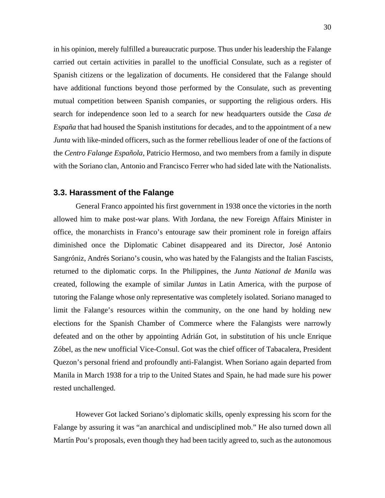<span id="page-30-0"></span>in his opinion, merely fulfilled a bureaucratic purpose. Thus under his leadership the Falange carried out certain activities in parallel to the unofficial Consulate, such as a register of Spanish citizens or the legalization of documents. He considered that the Falange should have additional functions beyond those performed by the Consulate, such as preventing mutual competition between Spanish companies, or supporting the religious orders. His search for independence soon led to a search for new headquarters outside the *Casa de España* that had housed the Spanish institutions for decades, and to the appointment of a new *Junta* with like-minded officers, such as the former rebellious leader of one of the factions of the *Centro Falange Española,* Patricio Hermoso, and two members from a family in dispute with the Soriano clan, Antonio and Francisco Ferrer who had sided late with the Nationalists.

#### **3.3. Harassment of the Falange**

General Franco appointed his first government in 1938 once the victories in the north allowed him to make post-war plans. With Jordana, the new Foreign Affairs Minister in office, the monarchists in Franco's entourage saw their prominent role in foreign affairs diminished once the Diplomatic Cabinet disappeared and its Director, José Antonio Sangróniz, Andrés Soriano's cousin, who was hated by the Falangists and the Italian Fascists, returned to the diplomatic corps. In the Philippines, the *Junta National de Manila* was created, following the example of similar *Juntas* in Latin America, with the purpose of tutoring the Falange whose only representative was completely isolated. Soriano managed to limit the Falange's resources within the community, on the one hand by holding new elections for the Spanish Chamber of Commerce where the Falangists were narrowly defeated and on the other by appointing Adrián Got, in substitution of his uncle Enrique Zóbel, as the new unofficial Vice-Consul. Got was the chief officer of Tabacalera, President Quezon's personal friend and profoundly anti-Falangist. When Soriano again departed from Manila in March 1938 for a trip to the United States and Spain, he had made sure his power rested unchallenged.

However Got lacked Soriano's diplomatic skills, openly expressing his scorn for the Falange by assuring it was "an anarchical and undisciplined mob." He also turned down all Martín Pou's proposals, even though they had been tacitly agreed to, such as the autonomous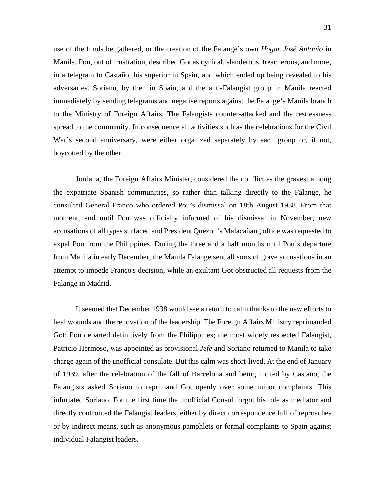use of the funds he gathered, or the creation of the Falange's own *Hogar José Antonio* in Manila. Pou, out of frustration, described Got as cynical, slanderous, treacherous, and more, in a telegram to Castaño, his superior in Spain, and which ended up being revealed to his adversaries. Soriano, by then in Spain, and the anti-Falangist group in Manila reacted immediately by sending telegrams and negative reports against the Falange's Manila branch to the Ministry of Foreign Affairs. The Falangists counter-attacked and the restlessness spread to the community. In consequence all activities such as the celebrations for the Civil War's second anniversary, were either organized separately by each group or, if not, boycotted by the other.

Jordana, the Foreign Affairs Minister, considered the conflict as the gravest among the expatriate Spanish communities, so rather than talking directly to the Falange, he consulted General Franco who ordered Pou's dismissal on 18th August 1938. From that moment, and until Pou was officially informed of his dismissal in November, new accusations of all types surfaced and President Quezon's Malacañang office was requested to expel Pou from the Philippines. During the three and a half months until Pou's departure from Manila in early December, the Manila Falange sent all sorts of grave accusations in an attempt to impede Franco's decision, while an exultant Got obstructed all requests from the Falange in Madrid.

It seemed that December 1938 would see a return to calm thanks to the new efforts to heal wounds and the renovation of the leadership. The Foreign Affairs Ministry reprimanded Got; Pou departed definitively from the Philippines; the most widely respected Falangist, Patricio Hermoso, was appointed as provisional *Jefe* and Soriano returned to Manila to take charge again of the unofficial consulate. But this calm was short-lived. At the end of January of 1939, after the celebration of the fall of Barcelona and being incited by Castaño, the Falangists asked Soriano to reprimand Got openly over some minor complaints. This infuriated Soriano. For the first time the unofficial Consul forgot his role as mediator and directly confronted the Falangist leaders, either by direct correspondence full of reproaches or by indirect means, such as anonymous pamphlets or formal complaints to Spain against individual Falangist leaders.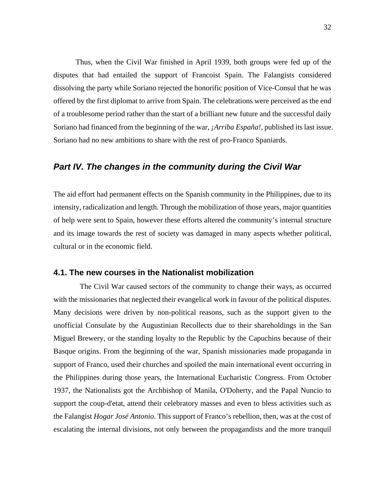<span id="page-32-0"></span>Thus, when the Civil War finished in April 1939, both groups were fed up of the disputes that had entailed the support of Francoist Spain. The Falangists considered dissolving the party while Soriano rejected the honorific position of Vice-Consul that he was offered by the first diplomat to arrive from Spain. The celebrations were perceived as the end of a troublesome period rather than the start of a brilliant new future and the successful daily Soriano had financed from the beginning of the war, *¡Arriba España!,* published its last issue. Soriano had no new ambitions to share with the rest of pro-Franco Spaniards.

## *Part IV. The changes in the community during the Civil War*

The aid effort had permanent effects on the Spanish community in the Philippines, due to its intensity, radicalization and length. Through the mobilization of those years, major quantities of help were sent to Spain, however these efforts altered the community's internal structure and its image towards the rest of society was damaged in many aspects whether political, cultural or in the economic field.

#### **4.1. The new courses in the Nationalist mobilization**

 The Civil War caused sectors of the community to change their ways, as occurred with the missionaries that neglected their evangelical work in favour of the political disputes. Many decisions were driven by non-political reasons, such as the support given to the unofficial Consulate by the Augustinian Recollects due to their shareholdings in the San Miguel Brewery, or the standing loyalty to the Republic by the Capuchins because of their Basque origins. From the beginning of the war, Spanish missionaries made propaganda in support of Franco, used their churches and spoiled the main international event occurring in the Philippines during those years, the International Eucharistic Congress. From October 1937, the Nationalists got the Archbishop of Manila, O'Doherty, and the Papal Nuncio to support the coup-d'etat, attend their celebratory masses and even to bless activities such as the Falangist *Hogar José Antonio*. This support of Franco's rebellion, then, was at the cost of escalating the internal divisions, not only between the propagandists and the more tranquil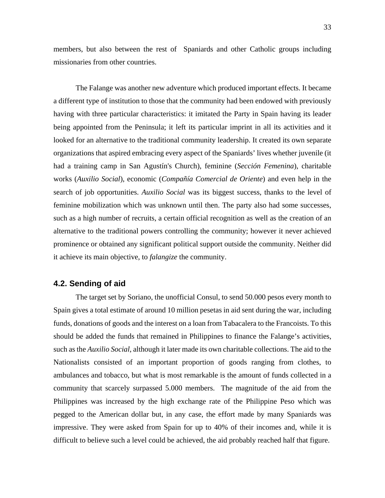<span id="page-33-0"></span>members, but also between the rest of Spaniards and other Catholic groups including missionaries from other countries.

The Falange was another new adventure which produced important effects. It became a different type of institution to those that the community had been endowed with previously having with three particular characteristics: it imitated the Party in Spain having its leader being appointed from the Peninsula; it left its particular imprint in all its activities and it looked for an alternative to the traditional community leadership. It created its own separate organizations that aspired embracing every aspect of the Spaniards' lives whether juvenile (it had a training camp in San Agustín's Church), feminine (*Sección Femenina*), charitable works (*Auxilio Social*), economic (*Compañía Comercial de Oriente*) and even help in the search of job opportunities. *Auxilio Social* was its biggest success, thanks to the level of feminine mobilization which was unknown until then. The party also had some successes, such as a high number of recruits, a certain official recognition as well as the creation of an alternative to the traditional powers controlling the community; however it never achieved prominence or obtained any significant political support outside the community. Neither did it achieve its main objective, to *falangize* the community.

#### **4.2. Sending of aid**

The target set by Soriano, the unofficial Consul, to send 50.000 pesos every month to Spain gives a total estimate of around 10 million pesetas in aid sent during the war, including funds, donations of goods and the interest on a loan from Tabacalera to the Francoists. To this should be added the funds that remained in Philippines to finance the Falange's activities, such as the *Auxilio Social*, although it later made its own charitable collections. The aid to the Nationalists consisted of an important proportion of goods ranging from clothes, to ambulances and tobacco, but what is most remarkable is the amount of funds collected in a community that scarcely surpassed 5.000 members. The magnitude of the aid from the Philippines was increased by the high exchange rate of the Philippine Peso which was pegged to the American dollar but, in any case, the effort made by many Spaniards was impressive. They were asked from Spain for up to 40% of their incomes and, while it is difficult to believe such a level could be achieved, the aid probably reached half that figure.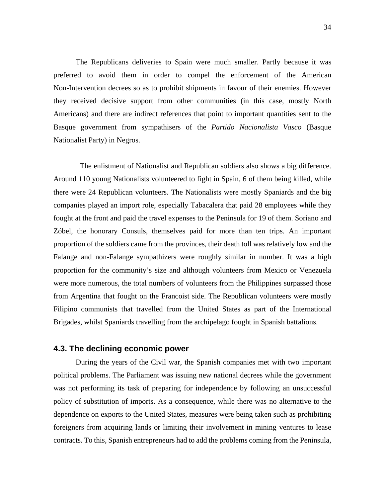<span id="page-34-0"></span>The Republicans deliveries to Spain were much smaller. Partly because it was preferred to avoid them in order to compel the enforcement of the American Non-Intervention decrees so as to prohibit shipments in favour of their enemies. However they received decisive support from other communities (in this case, mostly North Americans) and there are indirect references that point to important quantities sent to the Basque government from sympathisers of the *Partido Nacionalista Vasco* (Basque Nationalist Party) in Negros.

 The enlistment of Nationalist and Republican soldiers also shows a big difference. Around 110 young Nationalists volunteered to fight in Spain, 6 of them being killed, while there were 24 Republican volunteers. The Nationalists were mostly Spaniards and the big companies played an import role, especially Tabacalera that paid 28 employees while they fought at the front and paid the travel expenses to the Peninsula for 19 of them. Soriano and Zóbel, the honorary Consuls, themselves paid for more than ten trips. An important proportion of the soldiers came from the provinces, their death toll was relatively low and the Falange and non-Falange sympathizers were roughly similar in number. It was a high proportion for the community's size and although volunteers from Mexico or Venezuela were more numerous, the total numbers of volunteers from the Philippines surpassed those from Argentina that fought on the Francoist side. The Republican volunteers were mostly Filipino communists that travelled from the United States as part of the International Brigades, whilst Spaniards travelling from the archipelago fought in Spanish battalions.

#### **4.3. The declining economic power**

During the years of the Civil war, the Spanish companies met with two important political problems. The Parliament was issuing new national decrees while the government was not performing its task of preparing for independence by following an unsuccessful policy of substitution of imports. As a consequence, while there was no alternative to the dependence on exports to the United States, measures were being taken such as prohibiting foreigners from acquiring lands or limiting their involvement in mining ventures to lease contracts. To this, Spanish entrepreneurs had to add the problems coming from the Peninsula,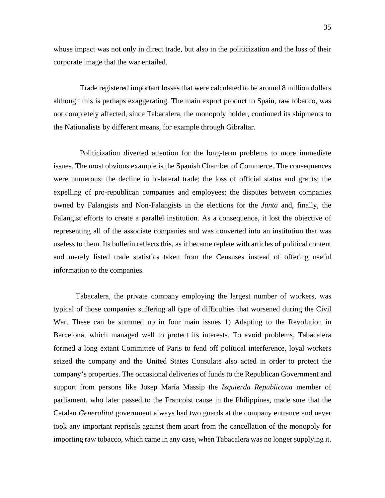whose impact was not only in direct trade, but also in the politicization and the loss of their corporate image that the war entailed.

 Trade registered important losses that were calculated to be around 8 million dollars although this is perhaps exaggerating. The main export product to Spain, raw tobacco, was not completely affected, since Tabacalera, the monopoly holder, continued its shipments to the Nationalists by different means, for example through Gibraltar.

 Politicization diverted attention for the long-term problems to more immediate issues. The most obvious example is the Spanish Chamber of Commerce. The consequences were numerous: the decline in bi-lateral trade; the loss of official status and grants; the expelling of pro-republican companies and employees; the disputes between companies owned by Falangists and Non-Falangists in the elections for the *Junta* and, finally, the Falangist efforts to create a parallel institution. As a consequence, it lost the objective of representing all of the associate companies and was converted into an institution that was useless to them. Its bulletin reflects this, as it became replete with articles of political content and merely listed trade statistics taken from the Censuses instead of offering useful information to the companies.

Tabacalera, the private company employing the largest number of workers, was typical of those companies suffering all type of difficulties that worsened during the Civil War. These can be summed up in four main issues 1) Adapting to the Revolution in Barcelona, which managed well to protect its interests. To avoid problems, Tabacalera formed a long extant Committee of Paris to fend off political interference, loyal workers seized the company and the United States Consulate also acted in order to protect the company's properties. The occasional deliveries of funds to the Republican Government and support from persons like Josep María Massip the *Izquierda Republicana* member of parliament, who later passed to the Francoist cause in the Philippines, made sure that the Catalan *Generalitat* government always had two guards at the company entrance and never took any important reprisals against them apart from the cancellation of the monopoly for importing raw tobacco, which came in any case, when Tabacalera was no longer supplying it.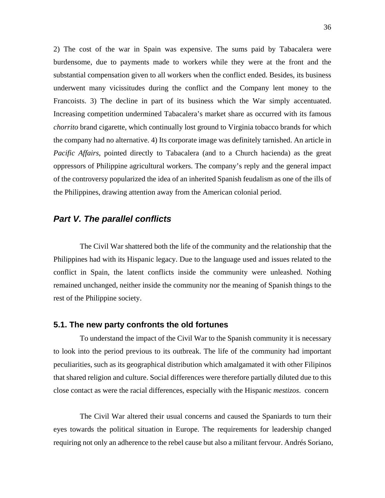<span id="page-36-0"></span>2) The cost of the war in Spain was expensive. The sums paid by Tabacalera were burdensome, due to payments made to workers while they were at the front and the substantial compensation given to all workers when the conflict ended. Besides, its business underwent many vicissitudes during the conflict and the Company lent money to the Francoists. 3) The decline in part of its business which the War simply accentuated. Increasing competition undermined Tabacalera's market share as occurred with its famous *chorrito* brand cigarette, which continually lost ground to Virginia tobacco brands for which the company had no alternative. 4) Its corporate image was definitely tarnished. An article in *Pacific Affairs*, pointed directly to Tabacalera (and to a Church hacienda) as the great oppressors of Philippine agricultural workers. The company's reply and the general impact of the controversy popularized the idea of an inherited Spanish feudalism as one of the ills of the Philippines, drawing attention away from the American colonial period.

# *Part V. The parallel conflicts*

 The Civil War shattered both the life of the community and the relationship that the Philippines had with its Hispanic legacy. Due to the language used and issues related to the conflict in Spain, the latent conflicts inside the community were unleashed. Nothing remained unchanged, neither inside the community nor the meaning of Spanish things to the rest of the Philippine society.

#### **5.1. The new party confronts the old fortunes**

 To understand the impact of the Civil War to the Spanish community it is necessary to look into the period previous to its outbreak. The life of the community had important peculiarities, such as its geographical distribution which amalgamated it with other Filipinos that shared religion and culture. Social differences were therefore partially diluted due to this close contact as were the racial differences, especially with the Hispanic *mestizos*. concern

 The Civil War altered their usual concerns and caused the Spaniards to turn their eyes towards the political situation in Europe. The requirements for leadership changed requiring not only an adherence to the rebel cause but also a militant fervour. Andrés Soriano,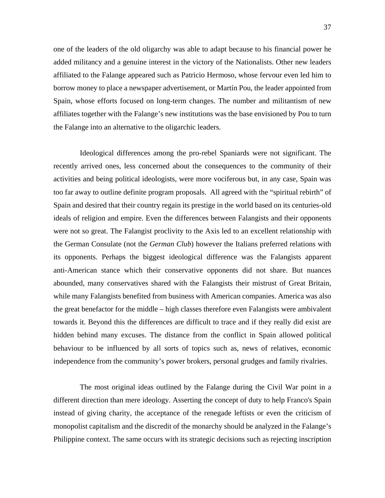one of the leaders of the old oligarchy was able to adapt because to his financial power he added militancy and a genuine interest in the victory of the Nationalists. Other new leaders affiliated to the Falange appeared such as Patricio Hermoso, whose fervour even led him to borrow money to place a newspaper advertisement, or Martín Pou, the leader appointed from Spain, whose efforts focused on long-term changes. The number and militantism of new affiliates together with the Falange's new institutions was the base envisioned by Pou to turn the Falange into an alternative to the oligarchic leaders.

 Ideological differences among the pro-rebel Spaniards were not significant. The recently arrived ones, less concerned about the consequences to the community of their activities and being political ideologists, were more vociferous but, in any case, Spain was too far away to outline definite program proposals. All agreed with the "spiritual rebirth" of Spain and desired that their country regain its prestige in the world based on its centuries-old ideals of religion and empire. Even the differences between Falangists and their opponents were not so great. The Falangist proclivity to the Axis led to an excellent relationship with the German Consulate (not the *German Club*) however the Italians preferred relations with its opponents. Perhaps the biggest ideological difference was the Falangists apparent anti-American stance which their conservative opponents did not share. But nuances abounded, many conservatives shared with the Falangists their mistrust of Great Britain, while many Falangists benefited from business with American companies. America was also the great benefactor for the middle – high classes therefore even Falangists were ambivalent towards it. Beyond this the differences are difficult to trace and if they really did exist are hidden behind many excuses. The distance from the conflict in Spain allowed political behaviour to be influenced by all sorts of topics such as, news of relatives, economic independence from the community's power brokers, personal grudges and family rivalries.

 The most original ideas outlined by the Falange during the Civil War point in a different direction than mere ideology. Asserting the concept of duty to help Franco's Spain instead of giving charity, the acceptance of the renegade leftists or even the criticism of monopolist capitalism and the discredit of the monarchy should be analyzed in the Falange's Philippine context. The same occurs with its strategic decisions such as rejecting inscription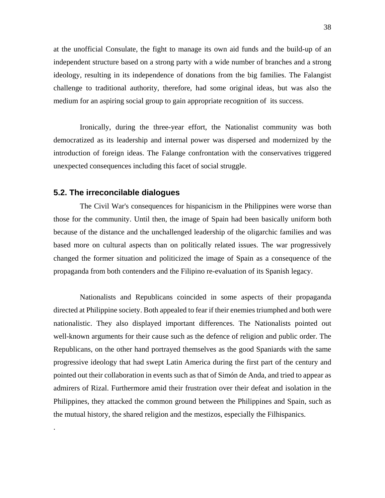<span id="page-38-0"></span>at the unofficial Consulate, the fight to manage its own aid funds and the build-up of an independent structure based on a strong party with a wide number of branches and a strong ideology, resulting in its independence of donations from the big families. The Falangist challenge to traditional authority, therefore, had some original ideas, but was also the medium for an aspiring social group to gain appropriate recognition of its success.

 Ironically, during the three-year effort, the Nationalist community was both democratized as its leadership and internal power was dispersed and modernized by the introduction of foreign ideas. The Falange confrontation with the conservatives triggered unexpected consequences including this facet of social struggle.

#### **5.2. The irreconcilable dialogues**

.

 The Civil War's consequences for hispanicism in the Philippines were worse than those for the community. Until then, the image of Spain had been basically uniform both because of the distance and the unchallenged leadership of the oligarchic families and was based more on cultural aspects than on politically related issues. The war progressively changed the former situation and politicized the image of Spain as a consequence of the propaganda from both contenders and the Filipino re-evaluation of its Spanish legacy.

 Nationalists and Republicans coincided in some aspects of their propaganda directed at Philippine society. Both appealed to fear if their enemies triumphed and both were nationalistic. They also displayed important differences. The Nationalists pointed out well-known arguments for their cause such as the defence of religion and public order. The Republicans, on the other hand portrayed themselves as the good Spaniards with the same progressive ideology that had swept Latin America during the first part of the century and pointed out their collaboration in events such as that of Simón de Anda, and tried to appear as admirers of Rizal. Furthermore amid their frustration over their defeat and isolation in the Philippines, they attacked the common ground between the Philippines and Spain, such as the mutual history, the shared religion and the mestizos, especially the Filhispanics.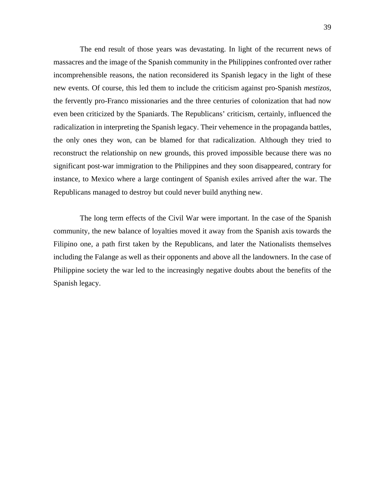The end result of those years was devastating. In light of the recurrent news of massacres and the image of the Spanish community in the Philippines confronted over rather incomprehensible reasons, the nation reconsidered its Spanish legacy in the light of these new events. Of course, this led them to include the criticism against pro-Spanish *mestizos*, the fervently pro-Franco missionaries and the three centuries of colonization that had now even been criticized by the Spaniards. The Republicans' criticism, certainly, influenced the radicalization in interpreting the Spanish legacy. Their vehemence in the propaganda battles, the only ones they won, can be blamed for that radicalization. Although they tried to reconstruct the relationship on new grounds, this proved impossible because there was no significant post-war immigration to the Philippines and they soon disappeared, contrary for instance, to Mexico where a large contingent of Spanish exiles arrived after the war. The Republicans managed to destroy but could never build anything new.

 The long term effects of the Civil War were important. In the case of the Spanish community, the new balance of loyalties moved it away from the Spanish axis towards the Filipino one, a path first taken by the Republicans, and later the Nationalists themselves including the Falange as well as their opponents and above all the landowners. In the case of Philippine society the war led to the increasingly negative doubts about the benefits of the Spanish legacy.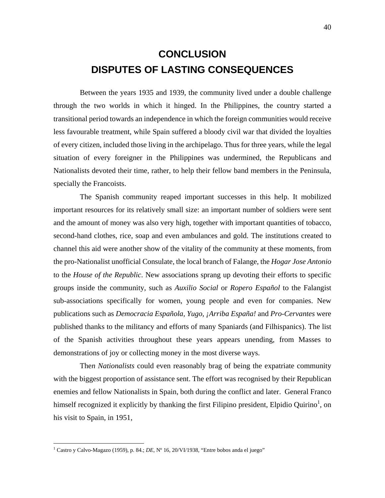# <span id="page-40-1"></span>**CONCLUSION DISPUTES OF LASTING CONSEQUENCES**

 Between the years 1935 and 1939, the community lived under a double challenge through the two worlds in which it hinged. In the Philippines, the country started a transitional period towards an independence in which the foreign communities would receive less favourable treatment, while Spain suffered a bloody civil war that divided the loyalties of every citizen, included those living in the archipelago. Thus for three years, while the legal situation of every foreigner in the Philippines was undermined, the Republicans and Nationalists devoted their time, rather, to help their fellow band members in the Peninsula, specially the Francoists.

 The Spanish community reaped important successes in this help. It mobilized important resources for its relatively small size: an important number of soldiers were sent and the amount of money was also very high, together with important quantities of tobacco, second-hand clothes, rice, soap and even ambulances and gold. The institutions created to channel this aid were another show of the vitality of the community at these moments, from the pro-Nationalist unofficial Consulate, the local branch of Falange, the *Hogar Jose Antonio* to the *House of the Republic*. New associations sprang up devoting their efforts to specific groups inside the community, such as *Auxilio Social* or *Ropero Español* to the Falangist sub-associations specifically for women, young people and even for companies. New publications such as *Democracia Española, Yugo, ¡Arriba España!* and *Pro*-*Cervantes* were published thanks to the militancy and efforts of many Spaniards (and Filhispanics). The list of the Spanish activities throughout these years appears unending, from Masses to demonstrations of joy or collecting money in the most diverse ways.

The*n Nationalists* could even reasonably brag of being the expatriate community with the biggest proportion of assistance sent. The effort was recognised by their Republican enemies and fellow Nationalists in Spain, both during the conflict and later. General Franco himself recognized it explicitly by thanking the first Filipino president, Elpidio Quirino<sup>[1](#page-40-0)</sup>, on his visit to Spain, in 1951,

1

<span id="page-40-0"></span><sup>&</sup>lt;sup>1</sup> Castro y Calvo-Magazo (1959), p. 84.; *DE*, N° 16, 20/VI/1938, "Entre bobos anda el juego"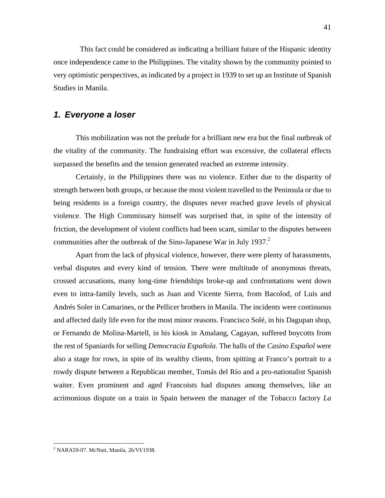<span id="page-41-1"></span>This fact could be considered as indicating a brilliant future of the Hispanic identity once independence came to the Philippines. The vitality shown by the community pointed to very optimistic perspectives, as indicated by a project in 1939 to set up an Institute of Spanish Studies in Manila.

# *1. Everyone a loser*

This mobilization was not the prelude for a brilliant new era but the final outbreak of the vitality of the community. The fundraising effort was excessive, the collateral effects surpassed the benefits and the tension generated reached an extreme intensity.

Certainly, in the Philippines there was no violence. Either due to the disparity of strength between both groups, or because the most violent travelled to the Peninsula or due to being residents in a foreign country, the disputes never reached grave levels of physical violence. The High Commissary himself was surprised that, in spite of the intensity of friction, the development of violent conflicts had been scant, similar to the disputes between communities after the outbreak of the Sino-Japanese War in July 1937. $2$ 

Apart from the lack of physical violence, however, there were plenty of harassments, verbal disputes and every kind of tension. There were multitude of anonymous threats, crossed accusations, many long-time friendships broke-up and confrontations went down even to intra-family levels, such as Juan and Vicente Sierra, from Bacolod, of Luis and Andrés Soler in Camarines, or the Pellicer brothers in Manila. The incidents were continuous and affected daily life even for the most minor reasons. Francisco Solé, in his Dagupan shop, or Fernando de Molina-Martell, in his kiosk in Amalang, Cagayan, suffered boycotts from the rest of Spaniards for selling *Democracia Española.* The halls of the *Casino Español* were also a stage for rows, in spite of its wealthy clients, from spitting at Franco's portrait to a rowdy dispute between a Republican member, Tomás del Río and a pro-nationalist Spanish waiter. Even prominent and aged Francoists had disputes among themselves, like an acrimonious dispute on a train in Spain between the manager of the Tobacco factory *La* 

<sup>41</sup>

<span id="page-41-0"></span> 2 NARA59-07. McNutt, Manila, 26/VI/1938.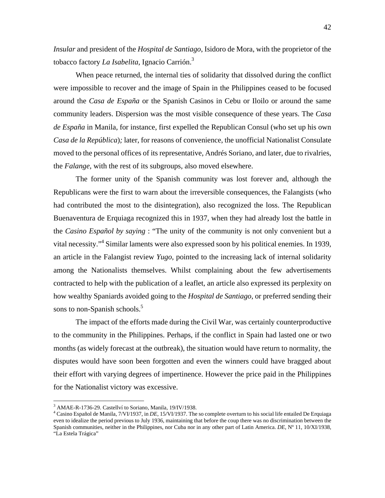*Insular* and president of the *Hospital de Santiago*, Isidoro de Mora, with the proprietor of the tobacco factory *La Isabelita*, Ignacio Carrión.[3](#page-42-0)

When peace returned, the internal ties of solidarity that dissolved during the conflict were impossible to recover and the image of Spain in the Philippines ceased to be focused around the *Casa de España* or the Spanish Casinos in Cebu or Iloilo or around the same community leaders. Dispersion was the most visible consequence of these years. The *Casa de España* in Manila, for instance, first expelled the Republican Consul (who set up his own *Casa de la República*)*;* later, for reasons of convenience, the unofficial Nationalist Consulate moved to the personal offices of its representative, Andrés Soriano, and later, due to rivalries, the *Falange*, with the rest of its subgroups, also moved elsewhere.

The former unity of the Spanish community was lost forever and, although the Republicans were the first to warn about the irreversible consequences, the Falangists (who had contributed the most to the disintegration), also recognized the loss. The Republican Buenaventura de Erquiaga recognized this in 1937, when they had already lost the battle in the *Casino Español by saying* : "The unity of the community is not only convenient but a vital necessity."<sup>4</sup> Similar laments were also expressed soon by his political enemies. In 1939, an article in the Falangist review *Yugo,* pointed to the increasing lack of internal solidarity among the Nationalists themselves. Whilst complaining about the few advertisements contracted to help with the publication of a leaflet, an article also expressed its perplexity on how wealthy Spaniards avoided going to the *Hospital de Santiago*, or preferred sending their sons to non-Spanish schools.<sup>[5](#page-42-2)</sup>

The impact of the efforts made during the Civil War, was certainly counterproductive to the community in the Philippines. Perhaps, if the conflict in Spain had lasted one or two months (as widely forecast at the outbreak), the situation would have return to normality, the disputes would have soon been forgotten and even the winners could have bragged about their effort with varying degrees of impertinence. However the price paid in the Philippines for the Nationalist victory was excessive.

1

<span id="page-42-0"></span><sup>&</sup>lt;sup>3</sup> AMAE-R-1736-29. Castellyí to Soriano, Manila, 19/IV/1938.<br><sup>4</sup> Cesino Español de Manila, 7/V/1937, in DE, 15/V/1937, The

<span id="page-42-2"></span><span id="page-42-1"></span><sup>&</sup>lt;sup>4</sup> Casino Español de Manila, 7/VI/1937, in *DE*, 15/VI/1937. The so complete overturn to his social life entailed De Erquiaga even to idealize the period previous to July 1936, maintaining that before the coup there was no discrimination between the Spanish communities, neither in the Philippines, nor Cuba nor in any other part of Latin America. *DE*, Nº 11, 10/XI/1938, "La Estela Trágica"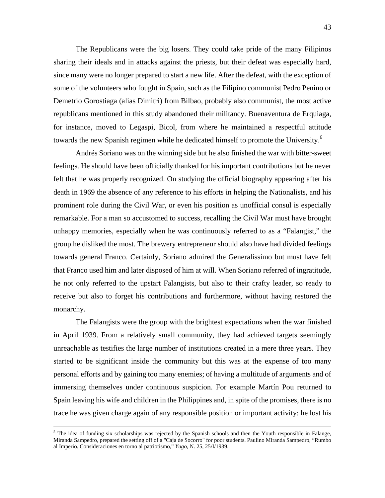The Republicans were the big losers. They could take pride of the many Filipinos sharing their ideals and in attacks against the priests, but their defeat was especially hard, since many were no longer prepared to start a new life. After the defeat, with the exception of some of the volunteers who fought in Spain, such as the Filipino communist Pedro Penino or Demetrio Gorostiaga (alias Dimitri) from Bilbao, probably also communist, the most active republicans mentioned in this study abandoned their militancy. Buenaventura de Erquiaga, for instance, moved to Legaspi, Bicol, from where he maintained a respectful attitude towards the new Spanish regimen while he dedicated himself to promote the University.<sup>[6](#page-43-0)</sup>

Andrés Soriano was on the winning side but he also finished the war with bitter-sweet feelings. He should have been officially thanked for his important contributions but he never felt that he was properly recognized. On studying the official biography appearing after his death in 1969 the absence of any reference to his efforts in helping the Nationalists, and his prominent role during the Civil War, or even his position as unofficial consul is especially remarkable. For a man so accustomed to success, recalling the Civil War must have brought unhappy memories, especially when he was continuously referred to as a "Falangist," the group he disliked the most. The brewery entrepreneur should also have had divided feelings towards general Franco. Certainly, Soriano admired the Generalissimo but must have felt that Franco used him and later disposed of him at will. When Soriano referred of ingratitude, he not only referred to the upstart Falangists, but also to their crafty leader, so ready to receive but also to forget his contributions and furthermore, without having restored the monarchy.

The Falangists were the group with the brightest expectations when the war finished in April 1939. From a relatively small community, they had achieved targets seemingly unreachable as testifies the large number of institutions created in a mere three years. They started to be significant inside the community but this was at the expense of too many personal efforts and by gaining too many enemies; of having a multitude of arguments and of immersing themselves under continuous suspicion. For example Martín Pou returned to Spain leaving his wife and children in the Philippines and, in spite of the promises, there is no trace he was given charge again of any responsible position or important activity: he lost his

<span id="page-43-0"></span><sup>-&</sup>lt;br>5  $<sup>5</sup>$  The idea of funding six scholarships was rejected by the Spanish schools and then the Youth responsible in Falange,</sup> Miranda Sampedro, prepared the setting off of a "Caja de Socorro" for poor students. Paulino Miranda Sampedro, "Rumbo al Imperio. Consideraciones en torno al patriotismo," *Yugo*, N. 25, 25/I/1939.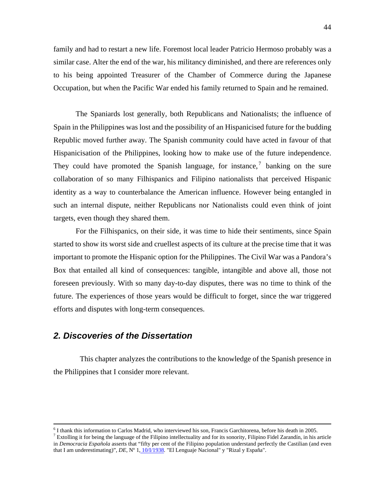44

<span id="page-44-1"></span>family and had to restart a new life. Foremost local leader Patricio Hermoso probably was a similar case. Alter the end of the war, his militancy diminished, and there are references only to his being appointed Treasurer of the Chamber of Commerce during the Japanese Occupation, but when the Pacific War ended his family returned to Spain and he remained.

The Spaniards lost generally, both Republicans and Nationalists; the influence of Spain in the Philippines was lost and the possibility of an Hispanicised future for the budding Republic moved further away. The Spanish community could have acted in favour of that Hispanicisation of the Philippines, looking how to make use of the future independence. Theycould have promoted the Spanish language, for instance,  $\bar{z}$  banking on the sure collaboration of so many Filhispanics and Filipino nationalists that perceived Hispanic identity as a way to counterbalance the American influence. However being entangled in such an internal dispute, neither Republicans nor Nationalists could even think of joint targets, even though they shared them.

For the Filhispanics, on their side, it was time to hide their sentiments, since Spain started to show its worst side and cruellest aspects of its culture at the precise time that it was important to promote the Hispanic option for the Philippines. The Civil War was a Pandora's Box that entailed all kind of consequences: tangible, intangible and above all, those not foreseen previously. With so many day-to-day disputes, there was no time to think of the future. The experiences of those years would be difficult to forget, since the war triggered efforts and disputes with long-term consequences.

# *2. Discoveries of the Dissertation*

 This chapter analyzes the contributions to the knowledge of the Spanish presence in the Philippines that I consider more relevant.

 $\frac{1}{6}$  $<sup>6</sup>$  I thank this information to Carlos Madrid, who interviewed his son, Francis Garchitorena, before his death in 2005.</sup>

<span id="page-44-0"></span><sup>&</sup>lt;sup>7</sup> Extolling it for being the language of the Filipino intellectuality and for its sonority, Filipino Fidel Zarandín, in his article in *Democracia Española* asserts that "fifty per cent of the Filipino population understand perfectly the Castilian (and even that I am underestimating)", *DE*, Nº 1, 10/I/1938. "El Lenguaje Nacional" y "Rizal y España".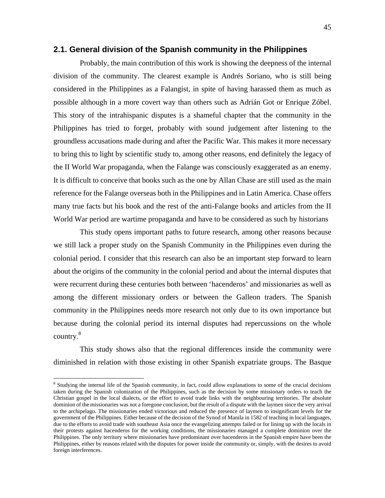#### <span id="page-45-1"></span>**2.1. General division of the Spanish community in the Philippines**

 Probably, the main contribution of this work is showing the deepness of the internal division of the community. The clearest example is Andrés Soriano, who is still being considered in the Philippines as a Falangist, in spite of having harassed them as much as possible although in a more covert way than others such as Adrián Got or Enrique Zóbel. This story of the intrahispanic disputes is a shameful chapter that the community in the Philippines has tried to forget, probably with sound judgement after listening to the groundless accusations made during and after the Pacific War. This makes it more necessary to bring this to light by scientific study to, among other reasons, end definitely the legacy of the II World War propaganda, when the Falange was consciously exaggerated as an enemy. It is difficult to conceive that books such as the one by Allan Chase are still used as the main reference for the Falange overseas both in the Philippines and in Latin America. Chase offers many true facts but his book and the rest of the anti-Falange books and articles from the II World War period are wartime propaganda and have to be considered as such by historians

This study opens important paths to future research, among other reasons because we still lack a proper study on the Spanish Community in the Philippines even during the colonial period. I consider that this research can also be an important step forward to learn about the origins of the community in the colonial period and about the internal disputes that were recurrent during these centuries both between 'hacenderos' and missionaries as well as among the different missionary orders or between the Galleon traders. The Spanish community in the Philippines needs more research not only due to its own importance but because during the colonial period its internal disputes had repercussions on the whole country. $8$ 

 This study shows also that the regional differences inside the community were diminished in relation with those existing in other Spanish expatriate groups. The Basque

1

<span id="page-45-0"></span><sup>&</sup>lt;sup>8</sup> Studying the internal life of the Spanish community, in fact, could allow explanations to some of the crucial decisions taken during the Spanish colonization of the Philippines, such as the decision by some missionary orders to teach the Christian gospel in the local dialects, or the effort to avoid trade links with the neighbouring territories. The absolute dominion of the missionaries was not a foregone conclusion, but the result of a dispute with the laymen since the very arrival to the archipelago. The missionaries ended victorious and reduced the presence of laymen to insignificant levels for the government of the Philippines. Either because of the decision of the Synod of Manila in 1582 of teaching in local languages, due to the efforts to avoid trade with southeast Asia once the evangelizing attempts failed or for lining up with the locals in their protests against hacenderos for the working conditions, the missionaries managed a complete dominion over the Philippines. The only territory where missionaries have predominant over hacenderos in the Spanish empire have been the Philippines, either by reasons related with the disputes for power inside the community or, simply, with the desires to avoid foreign interferences.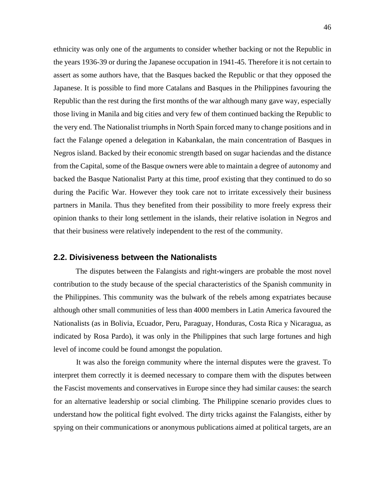<span id="page-46-0"></span>ethnicity was only one of the arguments to consider whether backing or not the Republic in the years 1936-39 or during the Japanese occupation in 1941-45. Therefore it is not certain to assert as some authors have, that the Basques backed the Republic or that they opposed the Japanese. It is possible to find more Catalans and Basques in the Philippines favouring the Republic than the rest during the first months of the war although many gave way, especially those living in Manila and big cities and very few of them continued backing the Republic to the very end. The Nationalist triumphs in North Spain forced many to change positions and in fact the Falange opened a delegation in Kabankalan, the main concentration of Basques in Negros island. Backed by their economic strength based on sugar haciendas and the distance from the Capital, some of the Basque owners were able to maintain a degree of autonomy and backed the Basque Nationalist Party at this time, proof existing that they continued to do so during the Pacific War. However they took care not to irritate excessively their business partners in Manila. Thus they benefited from their possibility to more freely express their opinion thanks to their long settlement in the islands, their relative isolation in Negros and that their business were relatively independent to the rest of the community.

#### **2.2. Divisiveness between the Nationalists**

The disputes between the Falangists and right-wingers are probable the most novel contribution to the study because of the special characteristics of the Spanish community in the Philippines. This community was the bulwark of the rebels among expatriates because although other small communities of less than 4000 members in Latin America favoured the Nationalists (as in Bolivia, Ecuador, Peru, Paraguay, Honduras, Costa Rica y Nicaragua, as indicated by Rosa Pardo), it was only in the Philippines that such large fortunes and high level of income could be found amongst the population.

It was also the foreign community where the internal disputes were the gravest. To interpret them correctly it is deemed necessary to compare them with the disputes between the Fascist movements and conservatives in Europe since they had similar causes: the search for an alternative leadership or social climbing. The Philippine scenario provides clues to understand how the political fight evolved. The dirty tricks against the Falangists, either by spying on their communications or anonymous publications aimed at political targets, are an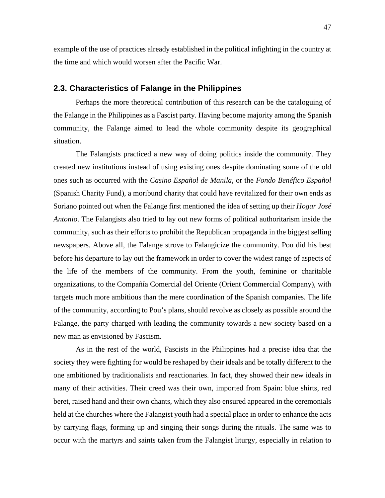<span id="page-47-0"></span>example of the use of practices already established in the political infighting in the country at the time and which would worsen after the Pacific War.

#### **2.3. Characteristics of Falange in the Philippines**

Perhaps the more theoretical contribution of this research can be the cataloguing of the Falange in the Philippines as a Fascist party. Having become majority among the Spanish community, the Falange aimed to lead the whole community despite its geographical situation.

The Falangists practiced a new way of doing politics inside the community. They created new institutions instead of using existing ones despite dominating some of the old ones such as occurred with the *Casino Español de Manila*, or the *Fondo Benéfico Español*  (Spanish Charity Fund), a moribund charity that could have revitalized for their own ends as Soriano pointed out when the Falange first mentioned the idea of setting up their *Hogar José Antonio*. The Falangists also tried to lay out new forms of political authoritarism inside the community, such as their efforts to prohibit the Republican propaganda in the biggest selling newspapers. Above all, the Falange strove to Falangicize the community. Pou did his best before his departure to lay out the framework in order to cover the widest range of aspects of the life of the members of the community. From the youth, feminine or charitable organizations, to the Compañía Comercial del Oriente (Orient Commercial Company), with targets much more ambitious than the mere coordination of the Spanish companies. The life of the community, according to Pou's plans, should revolve as closely as possible around the Falange, the party charged with leading the community towards a new society based on a new man as envisioned by Fascism.

As in the rest of the world, Fascists in the Philippines had a precise idea that the society they were fighting for would be reshaped by their ideals and be totally different to the one ambitioned by traditionalists and reactionaries. In fact, they showed their new ideals in many of their activities. Their creed was their own, imported from Spain: blue shirts, red beret, raised hand and their own chants, which they also ensured appeared in the ceremonials held at the churches where the Falangist youth had a special place in order to enhance the acts by carrying flags, forming up and singing their songs during the rituals. The same was to occur with the martyrs and saints taken from the Falangist liturgy, especially in relation to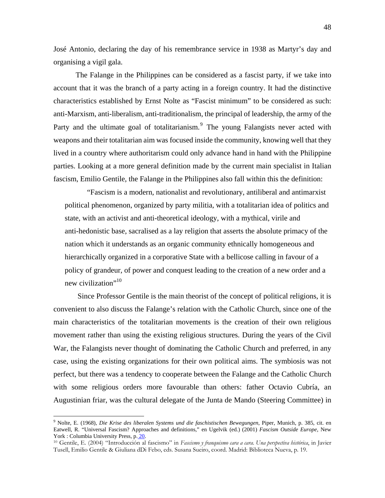José Antonio, declaring the day of his remembrance service in 1938 as Martyr's day and organising a vigil gala.

The Falange in the Philippines can be considered as a fascist party, if we take into account that it was the branch of a party acting in a foreign country. It had the distinctive characteristics established by Ernst Nolte as "Fascist minimum" to be considered as such: anti-Marxism, anti-liberalism, anti-traditionalism, the principal of leadership, the army of the Partyand the ultimate goal of totalitarianism.<sup>9</sup> The young Falangists never acted with weapons and their totalitarian aim was focused inside the community, knowing well that they lived in a country where authoritarism could only advance hand in hand with the Philippine parties. Looking at a more general definition made by the current main specialist in Italian fascism, Emilio Gentile, the Falange in the Philippines also fall within this the definition:

"Fascism is a modern, nationalist and revolutionary, antiliberal and antimarxist political phenomenon, organized by party militia, with a totalitarian idea of politics and state, with an activist and anti-theoretical ideology, with a mythical, virile and anti-hedonistic base, sacralised as a lay religion that asserts the absolute primacy of the nation which it understands as an organic community ethnically homogeneous and hierarchically organized in a corporative State with a bellicose calling in favour of a policy of grandeur, of power and conquest leading to the creation of a new order and a new civilization"<sup>10</sup>

 Since Professor Gentile is the main theorist of the concept of political religions, it is convenient to also discuss the Falange's relation with the Catholic Church, since one of the main characteristics of the totalitarian movements is the creation of their own religious movement rather than using the existing religious structures. During the years of the Civil War, the Falangists never thought of dominating the Catholic Church and preferred, in any case, using the existing organizations for their own political aims. The symbiosis was not perfect, but there was a tendency to cooperate between the Falange and the Catholic Church with some religious orders more favourable than others: father Octavio Cubría, an Augustinian friar, was the cultural delegate of the Junta de Mando (Steering Committee) in

<u>.</u>

<span id="page-48-0"></span><sup>9</sup> Nolte, E. (1968), *Die Krise des liberalen Systems und die faschistischen Bewegungen*, Piper, Munich, p. 385, cit. en Eatwell, R. "Universal Fascism? Approaches and definitions," en Ugelvik (ed.) (2001) *Fascism Outside Europe*, New York : Columbia University Press, p. 20.

<span id="page-48-1"></span><sup>10</sup> Gentile, E. (2004) "Introducción al fascismo" in *Fascismo y franquismo cara a cara. Una perspectiva histórica*, in Javier Tusell, Emilio Gentile & Giuliana dDi Febo, eds. Susana Sueiro, coord. Madrid: Biblioteca Nueva, p. 19.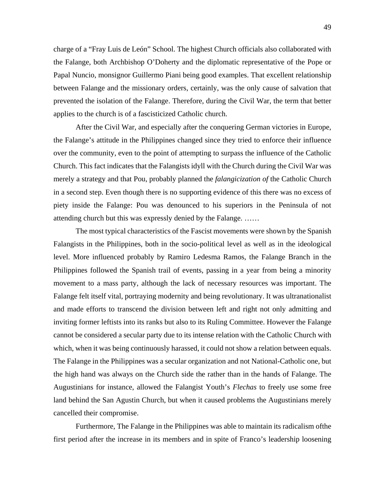charge of a "Fray Luis de León" School. The highest Church officials also collaborated with the Falange, both Archbishop O'Doherty and the diplomatic representative of the Pope or Papal Nuncio, monsignor Guillermo Piani being good examples. That excellent relationship between Falange and the missionary orders, certainly, was the only cause of salvation that prevented the isolation of the Falange. Therefore, during the Civil War, the term that better applies to the church is of a fascisticized Catholic church.

After the Civil War, and especially after the conquering German victories in Europe, the Falange's attitude in the Philippines changed since they tried to enforce their influence over the community, even to the point of attempting to surpass the influence of the Catholic Church. This fact indicates that the Falangists idyll with the Church during the Civil War was merely a strategy and that Pou, probably planned the *falangicization of* the Catholic Church in a second step. Even though there is no supporting evidence of this there was no excess of piety inside the Falange: Pou was denounced to his superiors in the Peninsula of not attending church but this was expressly denied by the Falange. ……

The most typical characteristics of the Fascist movements were shown by the Spanish Falangists in the Philippines, both in the socio-political level as well as in the ideological level. More influenced probably by Ramiro Ledesma Ramos, the Falange Branch in the Philippines followed the Spanish trail of events, passing in a year from being a minority movement to a mass party, although the lack of necessary resources was important. The Falange felt itself vital, portraying modernity and being revolutionary. It was ultranationalist and made efforts to transcend the division between left and right not only admitting and inviting former leftists into its ranks but also to its Ruling Committee. However the Falange cannot be considered a secular party due to its intense relation with the Catholic Church with which, when it was being continuously harassed, it could not show a relation between equals. The Falange in the Philippines was a secular organization and not National-Catholic one, but the high hand was always on the Church side the rather than in the hands of Falange. The Augustinians for instance, allowed the Falangist Youth's *Flechas* to freely use some free land behind the San Agustin Church, but when it caused problems the Augustinians merely cancelled their compromise.

Furthermore, The Falange in the Philippines was able to maintain its radicalism ofthe first period after the increase in its members and in spite of Franco's leadership loosening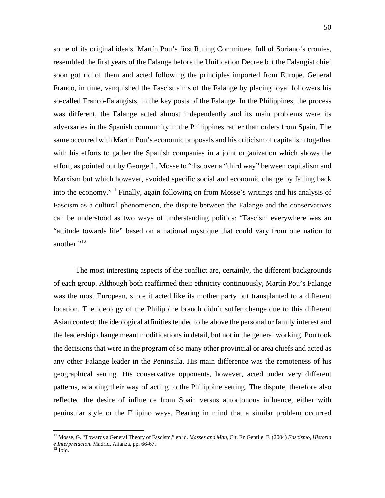some of its original ideals. Martín Pou's first Ruling Committee, full of Soriano's cronies, resembled the first years of the Falange before the Unification Decree but the Falangist chief soon got rid of them and acted following the principles imported from Europe. General Franco, in time, vanquished the Fascist aims of the Falange by placing loyal followers his so-called Franco-Falangists, in the key posts of the Falange. In the Philippines, the process was different, the Falange acted almost independently and its main problems were its adversaries in the Spanish community in the Philippines rather than orders from Spain. The same occurred with Martin Pou's economic proposals and his criticism of capitalism together with his efforts to gather the Spanish companies in a joint organization which shows the effort, as pointed out by George L. Mosse to "discover a "third way" between capitalism and Marxism but which however, avoided specific social and economic change by falling back into the economy."<sup>11</sup> Finally, again following on from Mosse's writings and his analysis of Fascism as a cultural phenomenon, the dispute between the Falange and the conservatives can be understood as two ways of understanding politics: "Fascism everywhere was an "attitude towards life" based on a national mystique that could vary from one nation to another."<sup>12</sup>

The most interesting aspects of the conflict are, certainly, the different backgrounds of each group. Although both reaffirmed their ethnicity continuously, Martín Pou's Falange was the most European, since it acted like its mother party but transplanted to a different location. The ideology of the Philippine branch didn't suffer change due to this different Asian context; the ideological affinities tended to be above the personal or family interest and the leadership change meant modifications in detail, but not in the general working. Pou took the decisions that were in the program of so many other provincial or area chiefs and acted as any other Falange leader in the Peninsula. His main difference was the remoteness of his geographical setting. His conservative opponents, however, acted under very different patterns, adapting their way of acting to the Philippine setting. The dispute, therefore also reflected the desire of influence from Spain versus autoctonous influence, either with peninsular style or the Filipino ways. Bearing in mind that a similar problem occurred

<u>.</u>

<span id="page-50-0"></span><sup>11</sup> Mosse, G. "Towards a General Theory of Fascism," en id. *Masses and Man*, Cit. En Gentile, E. (2004) *Fascismo, Historia e Interpretación*. Madrid, Alianza, pp. 66-67. 12 Ibíd.

<span id="page-50-1"></span>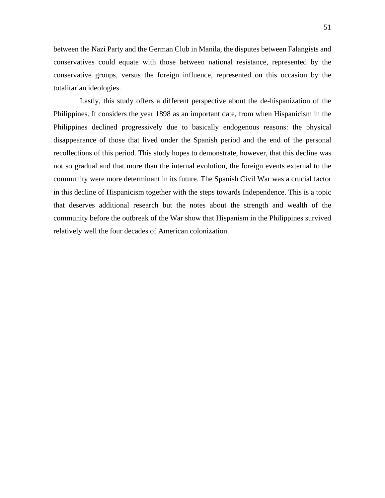51

between the Nazi Party and the German Club in Manila*,* the disputes between Falangists and conservatives could equate with those between national resistance, represented by the conservative groups, versus the foreign influence, represented on this occasion by the totalitarian ideologies.

 Lastly, this study offers a different perspective about the de-hispanization of the Philippines. It considers the year 1898 as an important date, from when Hispanicism in the Philippines declined progressively due to basically endogenous reasons: the physical disappearance of those that lived under the Spanish period and the end of the personal recollections of this period. This study hopes to demonstrate, however, that this decline was not so gradual and that more than the internal evolution, the foreign events external to the community were more determinant in its future. The Spanish Civil War was a crucial factor in this decline of Hispanicism together with the steps towards Independence. This is a topic that deserves additional research but the notes about the strength and wealth of the community before the outbreak of the War show that Hispanism in the Philippines survived relatively well the four decades of American colonization.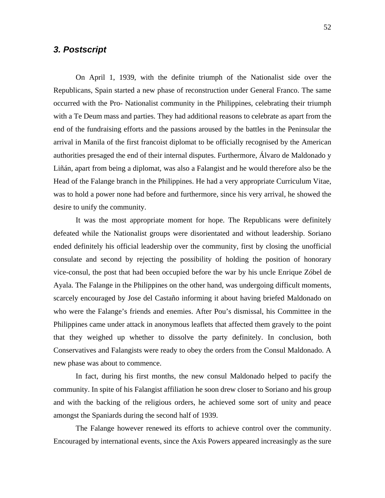# <span id="page-52-0"></span>*3. Postscript*

On April 1, 1939, with the definite triumph of the Nationalist side over the Republicans, Spain started a new phase of reconstruction under General Franco. The same occurred with the Pro- Nationalist community in the Philippines, celebrating their triumph with a Te Deum mass and parties. They had additional reasons to celebrate as apart from the end of the fundraising efforts and the passions aroused by the battles in the Peninsular the arrival in Manila of the first francoist diplomat to be officially recognised by the American authorities presaged the end of their internal disputes. Furthermore, Álvaro de Maldonado y Liñán, apart from being a diplomat, was also a Falangist and he would therefore also be the Head of the Falange branch in the Philippines. He had a very appropriate Curriculum Vitae, was to hold a power none had before and furthermore, since his very arrival, he showed the desire to unify the community.

It was the most appropriate moment for hope. The Republicans were definitely defeated while the Nationalist groups were disorientated and without leadership. Soriano ended definitely his official leadership over the community, first by closing the unofficial consulate and second by rejecting the possibility of holding the position of honorary vice-consul, the post that had been occupied before the war by his uncle Enrique Zóbel de Ayala. The Falange in the Philippines on the other hand, was undergoing difficult moments, scarcely encouraged by Jose del Castaño informing it about having briefed Maldonado on who were the Falange's friends and enemies. After Pou's dismissal, his Committee in the Philippines came under attack in anonymous leaflets that affected them gravely to the point that they weighed up whether to dissolve the party definitely. In conclusion, both Conservatives and Falangists were ready to obey the orders from the Consul Maldonado. A new phase was about to commence.

In fact, during his first months, the new consul Maldonado helped to pacify the community. In spite of his Falangist affiliation he soon drew closer to Soriano and his group and with the backing of the religious orders, he achieved some sort of unity and peace amongst the Spaniards during the second half of 1939.

The Falange however renewed its efforts to achieve control over the community. Encouraged by international events, since the Axis Powers appeared increasingly as the sure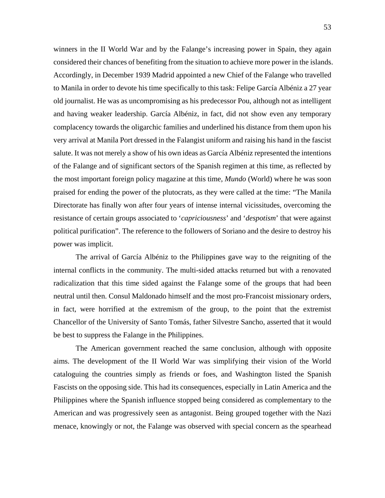winners in the II World War and by the Falange's increasing power in Spain, they again considered their chances of benefiting from the situation to achieve more power in the islands. Accordingly, in December 1939 Madrid appointed a new Chief of the Falange who travelled to Manila in order to devote his time specifically to this task: Felipe García Albéniz a 27 year old journalist. He was as uncompromising as his predecessor Pou, although not as intelligent and having weaker leadership. García Albéniz, in fact, did not show even any temporary complacency towards the oligarchic families and underlined his distance from them upon his very arrival at Manila Port dressed in the Falangist uniform and raising his hand in the fascist salute. It was not merely a show of his own ideas as García Albéniz represented the intentions of the Falange and of significant sectors of the Spanish regimen at this time, as reflected by the most important foreign policy magazine at this time, *Mundo* (World) where he was soon praised for ending the power of the plutocrats, as they were called at the time: "The Manila Directorate has finally won after four years of intense internal vicissitudes, overcoming the resistance of certain groups associated to '*capriciousness*' and '*despotism*' that were against political purification". The reference to the followers of Soriano and the desire to destroy his power was implicit.

The arrival of García Albéniz to the Philippines gave way to the reigniting of the internal conflicts in the community. The multi-sided attacks returned but with a renovated radicalization that this time sided against the Falange some of the groups that had been neutral until then. Consul Maldonado himself and the most pro-Francoist missionary orders, in fact, were horrified at the extremism of the group, to the point that the extremist Chancellor of the University of Santo Tomás, father Silvestre Sancho, asserted that it would be best to suppress the Falange in the Philippines.

The American government reached the same conclusion, although with opposite aims. The development of the II World War was simplifying their vision of the World cataloguing the countries simply as friends or foes, and Washington listed the Spanish Fascists on the opposing side. This had its consequences, especially in Latin America and the Philippines where the Spanish influence stopped being considered as complementary to the American and was progressively seen as antagonist. Being grouped together with the Nazi menace, knowingly or not, the Falange was observed with special concern as the spearhead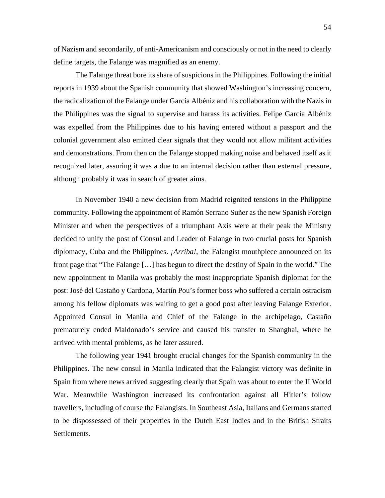of Nazism and secondarily, of anti-Americanism and consciously or not in the need to clearly define targets, the Falange was magnified as an enemy.

The Falange threat bore its share of suspicions in the Philippines. Following the initial reports in 1939 about the Spanish community that showed Washington's increasing concern, the radicalization of the Falange under García Albéniz and his collaboration with the Nazis in the Philippines was the signal to supervise and harass its activities. Felipe García Albéniz was expelled from the Philippines due to his having entered without a passport and the colonial government also emitted clear signals that they would not allow militant activities and demonstrations. From then on the Falange stopped making noise and behaved itself as it recognized later, assuring it was a due to an internal decision rather than external pressure, although probably it was in search of greater aims.

In November 1940 a new decision from Madrid reignited tensions in the Philippine community. Following the appointment of Ramón Serrano Suñer as the new Spanish Foreign Minister and when the perspectives of a triumphant Axis were at their peak the Ministry decided to unify the post of Consul and Leader of Falange in two crucial posts for Spanish diplomacy, Cuba and the Philippines. *¡Arriba!*, the Falangist mouthpiece announced on its front page that "The Falange […] has begun to direct the destiny of Spain in the world." The new appointment to Manila was probably the most inappropriate Spanish diplomat for the post: José del Castaño y Cardona, Martín Pou's former boss who suffered a certain ostracism among his fellow diplomats was waiting to get a good post after leaving Falange Exterior. Appointed Consul in Manila and Chief of the Falange in the archipelago, Castaño prematurely ended Maldonado's service and caused his transfer to Shanghai, where he arrived with mental problems, as he later assured.

The following year 1941 brought crucial changes for the Spanish community in the Philippines. The new consul in Manila indicated that the Falangist victory was definite in Spain from where news arrived suggesting clearly that Spain was about to enter the II World War. Meanwhile Washington increased its confrontation against all Hitler's follow travellers, including of course the Falangists. In Southeast Asia, Italians and Germans started to be dispossessed of their properties in the Dutch East Indies and in the British Straits Settlements.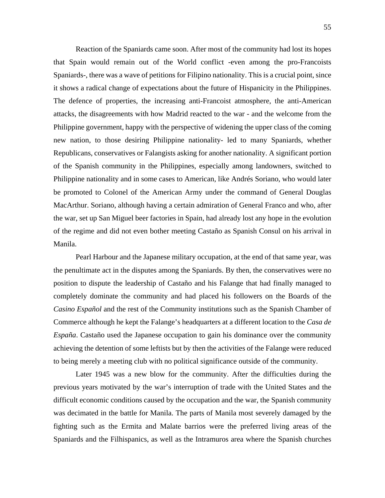Reaction of the Spaniards came soon. After most of the community had lost its hopes that Spain would remain out of the World conflict -even among the pro-Francoists Spaniards-, there was a wave of petitions for Filipino nationality. This is a crucial point, since it shows a radical change of expectations about the future of Hispanicity in the Philippines. The defence of properties, the increasing anti-Francoist atmosphere, the anti-American attacks, the disagreements with how Madrid reacted to the war - and the welcome from the Philippine government, happy with the perspective of widening the upper class of the coming new nation, to those desiring Philippine nationality- led to many Spaniards, whether Republicans, conservatives or Falangists asking for another nationality. A significant portion of the Spanish community in the Philippines, especially among landowners, switched to Philippine nationality and in some cases to American, like Andrés Soriano, who would later be promoted to Colonel of the American Army under the command of General Douglas MacArthur. Soriano, although having a certain admiration of General Franco and who, after the war, set up San Miguel beer factories in Spain, had already lost any hope in the evolution of the regime and did not even bother meeting Castaño as Spanish Consul on his arrival in Manila.

Pearl Harbour and the Japanese military occupation, at the end of that same year, was the penultimate act in the disputes among the Spaniards. By then, the conservatives were no position to dispute the leadership of Castaño and his Falange that had finally managed to completely dominate the community and had placed his followers on the Boards of the *Casino Español* and the rest of the Community institutions such as the Spanish Chamber of Commerce although he kept the Falange's headquarters at a different location to the *Casa de España*. Castaño used the Japanese occupation to gain his dominance over the community achieving the detention of some leftists but by then the activities of the Falange were reduced to being merely a meeting club with no political significance outside of the community.

Later 1945 was a new blow for the community. After the difficulties during the previous years motivated by the war's interruption of trade with the United States and the difficult economic conditions caused by the occupation and the war, the Spanish community was decimated in the battle for Manila. The parts of Manila most severely damaged by the fighting such as the Ermita and Malate barrios were the preferred living areas of the Spaniards and the Filhispanics, as well as the Intramuros area where the Spanish churches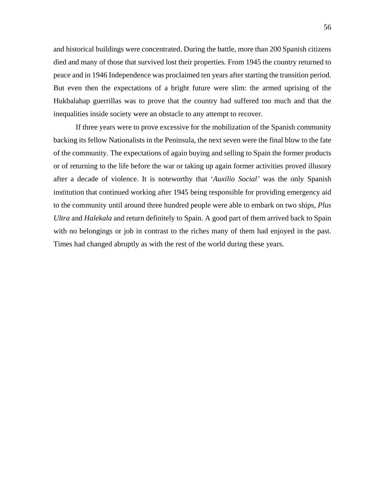and historical buildings were concentrated. During the battle, more than 200 Spanish citizens died and many of those that survived lost their properties. From 1945 the country returned to peace and in 1946 Independence was proclaimed ten years after starting the transition period. But even then the expectations of a bright future were slim: the armed uprising of the Hukbalahap guerrillas was to prove that the country had suffered too much and that the inequalities inside society were an obstacle to any attempt to recover.

If three years were to prove excessive for the mobilization of the Spanish community backing its fellow Nationalists in the Peninsula, the next seven were the final blow to the fate of the community. The expectations of again buying and selling to Spain the former products or of returning to the life before the war or taking up again former activities proved illusory after a decade of violence. It is noteworthy that '*Auxilio Social'* was the only Spanish institution that continued working after 1945 being responsible for providing emergency aid to the community until around three hundred people were able to embark on two ships, *Plus Ultra* and *Halekala* and return definitely to Spain. A good part of them arrived back to Spain with no belongings or job in contrast to the riches many of them had enjoyed in the past. Times had changed abruptly as with the rest of the world during these years.